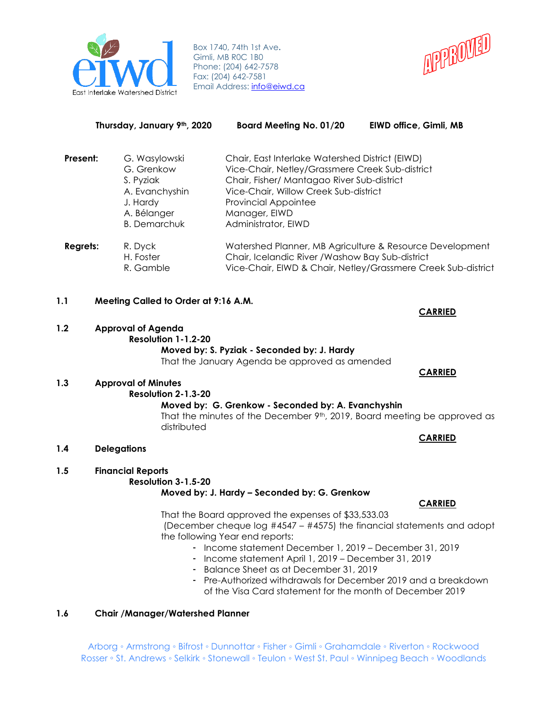

Box 1740, 74th 1st Ave**.** Gimli, MB R0C 1B0 Phone: (204) 642-7578 Fax: (204) 642-7581 Email Address: [info@eiwd.ca](mailto:info@eiwd.ca)



|                 | Thursday, January 9th, 2020                                                                                  | <b>Board Meeting No. 01/20</b>                                                                                                                                                                                                                                   | EIWD office, Gimli, MB                                        |
|-----------------|--------------------------------------------------------------------------------------------------------------|------------------------------------------------------------------------------------------------------------------------------------------------------------------------------------------------------------------------------------------------------------------|---------------------------------------------------------------|
| Present:        | G. Wasylowski<br>G. Grenkow<br>S. Pyziak<br>A. Evanchyshin<br>J. Hardy<br>A. Bélanger<br><b>B.</b> Demarchuk | Chair, East Interlake Watershed District (EIWD)<br>Vice-Chair, Netley/Grassmere Creek Sub-district<br>Chair, Fisher/ Mantagao River Sub-district<br>Vice-Chair, Willow Creek Sub-district<br><b>Provincial Appointee</b><br>Manager, EIWD<br>Administrator, EIWD |                                                               |
| <b>Regrets:</b> | R. Dyck<br>H. Foster<br>R. Gamble                                                                            | Watershed Planner, MB Agriculture & Resource Development<br>Chair, Icelandic River / Washow Bay Sub-district                                                                                                                                                     | Vice-Chair, EIWD & Chair, Netley/Grassmere Creek Sub-district |
| 1.1             | Meeting Called to Order at 9:16 A.M.                                                                         |                                                                                                                                                                                                                                                                  | <b>CARRIED</b>                                                |
| 1.2             | <b>Approval of Agenda</b><br>Resolution 1-1.2-20                                                             | Moved by: S. Pyziak - Seconded by: J. Hardy<br>That the January Agenda be approved as amended                                                                                                                                                                    |                                                               |
| 1.3             | <b>Approval of Minutes</b>                                                                                   |                                                                                                                                                                                                                                                                  | <b>CARRIED</b>                                                |
|                 | Resolution 2-1.3-20<br>distributed                                                                           | Moved by: G. Grenkow - Seconded by: A. Evanchyshin<br>That the minutes of the December 9th, 2019, Board meeting be approved as                                                                                                                                   | <b>CARRIED</b>                                                |

- **1.4 Delegations**
- **1.5 Financial Reports**

**Resolution 3-1.5-20**

**Moved by: J. Hardy – Seconded by: G. Grenkow**

That the Board approved the expenses of \$33,533.03

(December cheque log #4547 – #4575) the financial statements and adopt the following Year end reports:

- Income statement December 1, 2019 December 31, 2019
- Income statement April 1, 2019 December 31, 2019
- Balance Sheet as at December 31, 2019
- Pre-Authorized withdrawals for December 2019 and a breakdown of the Visa Card statement for the month of December 2019

# **1.6 Chair /Manager/Watershed Planner**

Arborg ◦ Armstrong ◦ Bifrost ◦ Dunnottar ◦ Fisher ◦ Gimli ◦ Grahamdale ◦ Riverton ◦ Rockwood Rosser ∘ St. Andrews ∘ Selkirk ∘ Stonewall ∘ Teulon ∘ West St. Paul ∘ Winnipeg Beach ∘ Woodlands

# **CARRIED**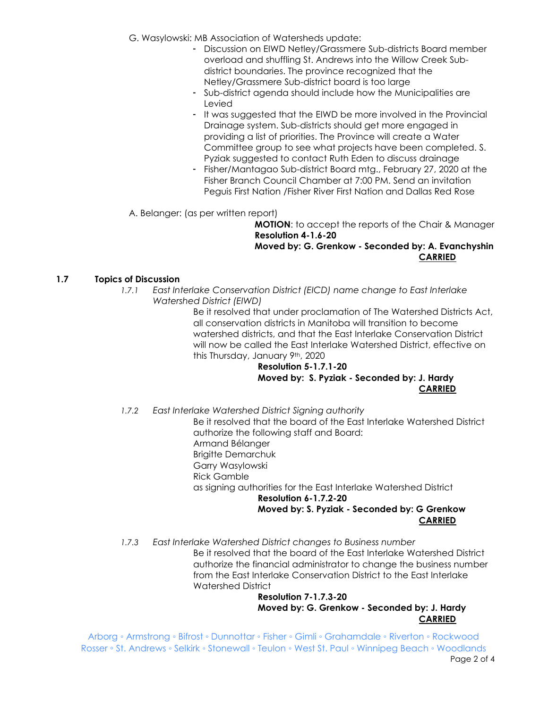- G. Wasylowski: MB Association of Watersheds update:
	- Discussion on EIWD Netley/Grassmere Sub-districts Board member overload and shuffling St. Andrews into the Willow Creek Subdistrict boundaries. The province recognized that the Netley/Grassmere Sub-district board is too large
	- Sub-district agenda should include how the Municipalities are Levied
	- It was suggested that the EIWD be more involved in the Provincial Drainage system. Sub-districts should get more engaged in providing a list of priorities. The Province will create a Water Committee group to see what projects have been completed. S. Pyziak suggested to contact Ruth Eden to discuss drainage
	- Fisher/Mantagao Sub-district Board mtg., February 27, 2020 at the Fisher Branch Council Chamber at 7:00 PM. Send an invitation Peguis First Nation /Fisher River First Nation and Dallas Red Rose

A. Belanger: (as per written report)

**MOTION**: to accept the reports of the Chair & Manager **Resolution 4-1.6-20**

**Moved by: G. Grenkow - Seconded by: A. Evanchyshin CARRIED**

### **1.7 Topics of Discussion**

*1.7.1 East Interlake Conservation District (EICD) name change to East Interlake Watershed District (EIWD)*

Be it resolved that under proclamation of The Watershed Districts Act, all conservation districts in Manitoba will transition to become watershed districts, and that the East Interlake Conservation District will now be called the East Interlake Watershed District, effective on this Thursday, January 9th, 2020

**Resolution 5-1.7.1-20 Moved by: S. Pyziak - Seconded by: J. Hardy CARRIED**

*1.7.2 East Interlake Watershed District Signing authority*

Be it resolved that the board of the East Interlake Watershed District authorize the following staff and Board: Armand Bélanger

Brigitte Demarchuk

- Garry Wasylowski
- Rick Gamble

as signing authorities for the East Interlake Watershed District

**Resolution 6-1.7.2-20**

**Moved by: S. Pyziak - Seconded by: G Grenkow CARRIED**

*1.7.3 East Interlake Watershed District changes to Business number*  Be it resolved that the board of the East Interlake Watershed District authorize the financial administrator to change the business number from the East Interlake Conservation District to the East Interlake Watershed District

**Resolution 7-1.7.3-20 Moved by: G. Grenkow - Seconded by: J. Hardy CARRIED**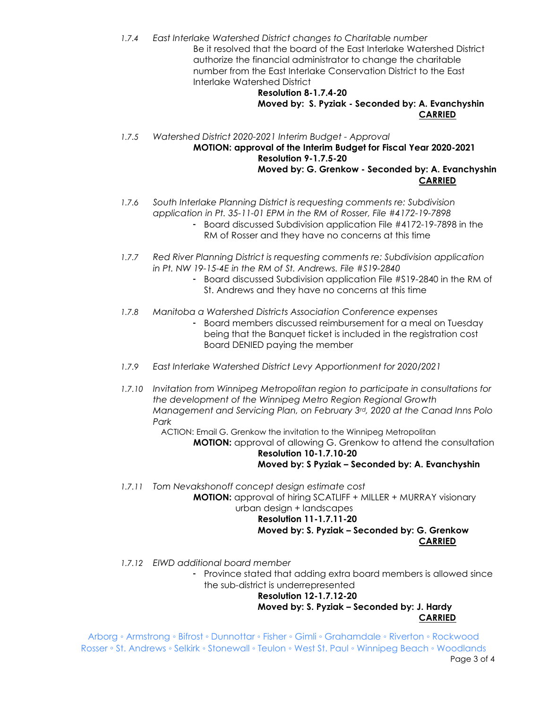*1.7.4 East Interlake Watershed District changes to Charitable number*  Be it resolved that the board of the East Interlake Watershed District authorize the financial administrator to change the charitable number from the East Interlake Conservation District to the East Interlake Watershed District

#### **Resolution 8-1.7.4-20 Moved by: S. Pyziak - Seconded by: A. Evanchyshin CARRIED**

*1.7.5 Watershed District 2020-2021 Interim Budget - Approval* **MOTION: approval of the Interim Budget for Fiscal Year 2020-2021 Resolution 9-1.7.5-20 Moved by: G. Grenkow - Seconded by: A. Evanchyshin CARRIED**

- *1.7.6 South Interlake Planning District is requesting comments re: Subdivision application in Pt. 35-11-01 EPM in the RM of Rosser, File #4172-19-7898*
	- Board discussed Subdivision application File #4172-19-7898 in the RM of Rosser and they have no concerns at this time
- *1.7.7 Red River Planning District is requesting comments re: Subdivision application in Pt. NW 19-15-4E in the RM of St. Andrews. File #S19-2840*
	- Board discussed Subdivision application File #S19-2840 in the RM of St. Andrews and they have no concerns at this time
- *1.7.8 Manitoba a Watershed Districts Association Conference expenses*
	- Board members discussed reimbursement for a meal on Tuesday being that the Banquet ticket is included in the registration cost Board DENIED paying the member
- *1.7.9 East Interlake Watershed District Levy Apportionment for 2020/2021*
- *1.7.10 Invitation from Winnipeg Metropolitan region to participate in consultations for the development of the Winnipeg Metro Region Regional Growth Management and Servicing Plan, on February 3rd, 2020 at the Canad Inns Polo Park*

ACTION: Email G. Grenkow the invitation to the Winnipeg Metropolitan **MOTION:** approval of allowing G. Grenkow to attend the consultation

#### **Resolution 10-1.7.10-20 Moved by: S Pyziak – Seconded by: A. Evanchyshin**

*1.7.11 Tom Nevakshonoff concept design estimate cost* **MOTION:** approval of hiring SCATLIFF + MILLER + MURRAY visionary

# urban design + landscapes

#### **Resolution 11-1.7.11-20**

### **Moved by: S. Pyziak – Seconded by: G. Grenkow CARRIED**

*1.7.12 EIWD additional board member*

- Province stated that adding extra board members is allowed since the sub-district is underrepresented

# **Resolution 12-1.7.12-20**

**Moved by: S. Pyziak – Seconded by: J. Hardy CARRIED**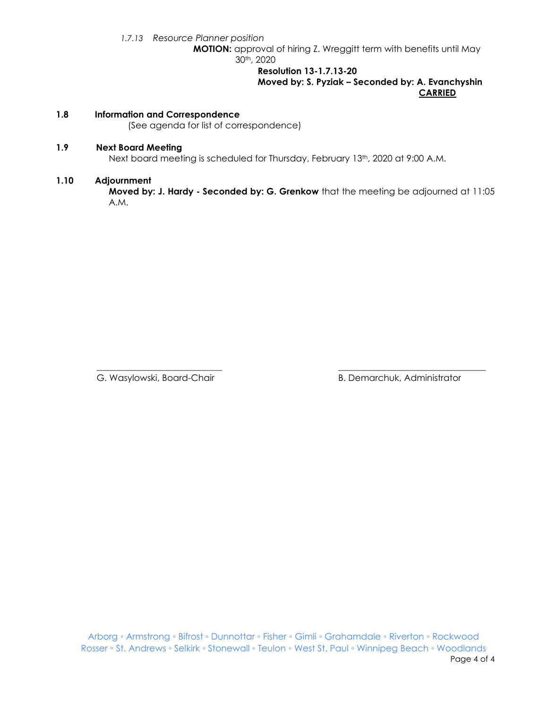*1.7.13 Resource Planner position*

**MOTION:** approval of hiring Z. Wreggitt term with benefits until May 30th, 2020

> **Resolution 13-1.7.13-20 Moved by: S. Pyziak – Seconded by: A. Evanchyshin CARRIED**

#### **1.8 Information and Correspondence**

(See agenda for list of correspondence)

#### **1.9 Next Board Meeting**

Next board meeting is scheduled for Thursday, February 13<sup>th</sup>, 2020 at 9:00 A.M.

#### **1.10 Adjournment**

**Moved by: J. Hardy - Seconded by: G. Grenkow** that the meeting be adjourned at 11:05 A.M.

\_\_\_\_\_\_\_\_\_\_\_\_\_\_\_\_\_\_\_\_\_\_\_\_\_\_\_\_ \_\_\_\_\_\_\_\_\_\_\_\_\_\_\_\_\_\_\_\_\_\_\_\_\_\_\_\_\_\_\_\_\_

G. Wasylowski, Board-Chair **B. Demarchuk, Administrator** B. Demarchuk, Administrator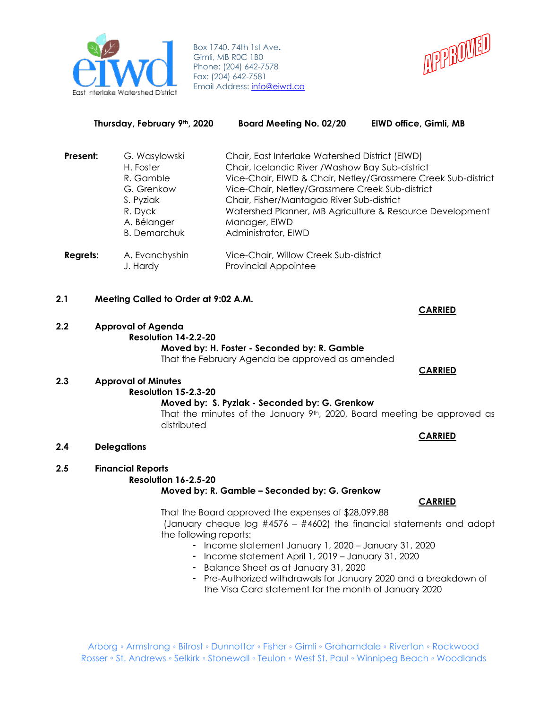

Box 1740, 74th 1st Ave**.** Gimli, MB R0C 1B0 Phone: (204) 642-7578 Fax: (204) 642-7581 Email Address: [info@eiwd.ca](mailto:info@eiwd.ca)



| Thursday, February 9th, 2020 |                                                                                                                     | <b>Board Meeting No. 02/20</b>                                                                                                                                                                                                                                                                          | EIWD office, Gimli, MB                                        |
|------------------------------|---------------------------------------------------------------------------------------------------------------------|---------------------------------------------------------------------------------------------------------------------------------------------------------------------------------------------------------------------------------------------------------------------------------------------------------|---------------------------------------------------------------|
| Present:                     | G. Wasylowski<br>H. Foster<br>R. Gamble<br>G. Grenkow<br>S. Pyziak<br>R. Dyck<br>A. Bélanger<br><b>B.</b> Demarchuk | Chair, East Interlake Watershed District (EIWD)<br>Chair, Icelandic River / Washow Bay Sub-district<br>Vice-Chair, Netley/Grassmere Creek Sub-district<br>Chair, Fisher/Mantagao River Sub-district<br>Watershed Planner, MB Agriculture & Resource Development<br>Manager, EIWD<br>Administrator, EIWD | Vice-Chair, EIWD & Chair, Netley/Grassmere Creek Sub-district |
| Regrets:                     | A. Evanchyshin<br>J. Hardy                                                                                          | Vice-Chair, Willow Creek Sub-district<br><b>Provincial Appointee</b>                                                                                                                                                                                                                                    |                                                               |
|                              |                                                                                                                     |                                                                                                                                                                                                                                                                                                         |                                                               |

### **2.1 Meeting Called to Order at 9:02 A.M.**

#### **2.2 Approval of Agenda**

**Resolution 14-2.2-20 Moved by: H. Foster - Seconded by: R. Gamble**

That the February Agenda be approved as amended

# **2.3 Approval of Minutes**

#### **Resolution 15-2.3-20**

# **Moved by: S. Pyziak - Seconded by: G. Grenkow**

That the minutes of the January  $9<sup>th</sup>$ , 2020, Board meeting be approved as distributed

**2.4 Delegations**

#### **2.5 Financial Reports**

### **Resolution 16-2.5-20 Moved by: R. Gamble – Seconded by: G. Grenkow**

That the Board approved the expenses of \$28,099.88

(January cheque log #4576 – #4602) the financial statements and adopt the following reports:

- Income statement January 1, 2020 January 31, 2020
- Income statement April 1, 2019 January 31, 2020
- Balance Sheet as at January 31, 2020
- Pre-Authorized withdrawals for January 2020 and a breakdown of the Visa Card statement for the month of January 2020

Arborg ◦ Armstrong ◦ Bifrost ◦ Dunnottar ◦ Fisher ◦ Gimli ◦ Grahamdale ◦ Riverton ◦ Rockwood Rosser ∘ St. Andrews ∘ Selkirk ∘ Stonewall ∘ Teulon ∘ West St. Paul ∘ Winnipeg Beach ∘ Woodlands

# **CARRIED**

**CARRIED**

# **CARRIED**

#### **CARRIED**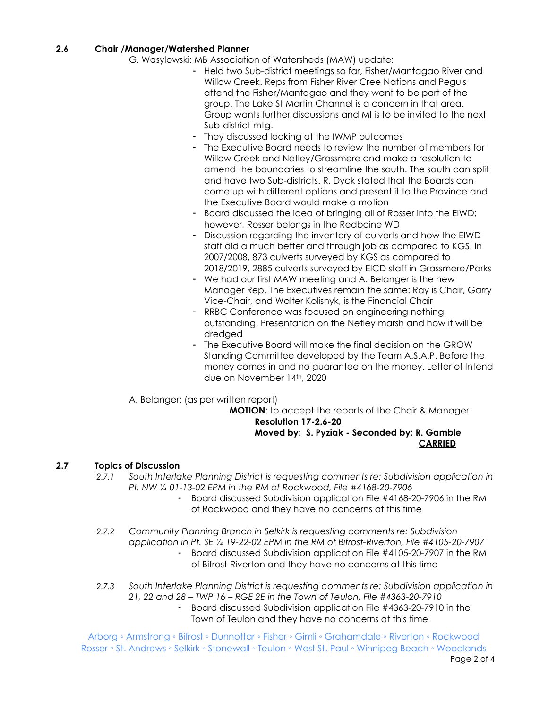### **2.6 Chair /Manager/Watershed Planner**

G. Wasylowski: MB Association of Watersheds (MAW) update:

- Held two Sub-district meetings so far, Fisher/Mantagao River and Willow Creek. Reps from Fisher River Cree Nations and Peguis attend the Fisher/Mantagao and they want to be part of the group. The Lake St Martin Channel is a concern in that area. Group wants further discussions and MI is to be invited to the next Sub-district mtg.
- They discussed looking at the IWMP outcomes
- The Executive Board needs to review the number of members for Willow Creek and Netley/Grassmere and make a resolution to amend the boundaries to streamline the south. The south can split and have two Sub-districts. R. Dyck stated that the Boards can come up with different options and present it to the Province and the Executive Board would make a motion
- Board discussed the idea of bringing all of Rosser into the EIWD; however, Rosser belongs in the Redboine WD
- Discussion regarding the inventory of culverts and how the EIWD staff did a much better and through job as compared to KGS. In 2007/2008, 873 culverts surveyed by KGS as compared to 2018/2019, 2885 culverts surveyed by EICD staff in Grassmere/Parks
- We had our first MAW meeting and A. Belanger is the new Manager Rep. The Executives remain the same: Ray is Chair, Garry Vice-Chair, and Walter Kolisnyk, is the Financial Chair
- RRBC Conference was focused on engineering nothing outstanding. Presentation on the Netley marsh and how it will be dredged
- The Executive Board will make the final decision on the GROW Standing Committee developed by the Team A.S.A.P. Before the money comes in and no guarantee on the money. Letter of Intend due on November 14th, 2020

A. Belanger: (as per written report)

**MOTION**: to accept the reports of the Chair & Manager **Resolution 17-2.6-20**

### **Moved by: S. Pyziak - Seconded by: R. Gamble CARRIED**

#### **2.7 Topics of Discussion**

- *2.7.1 South Interlake Planning District is requesting comments re: Subdivision application in Pt. NW ¼ 01-13-02 EPM in the RM of Rockwood, File #4168-20-7906*
	- Board discussed Subdivision application File #4168-20-7906 in the RM of Rockwood and they have no concerns at this time
- *2.7.2 Community Planning Branch in Selkirk is requesting comments re: Subdivision application in Pt. SE ¼ 19-22-02 EPM in the RM of Bifrost-Riverton, File #4105-20-7907*
	- Board discussed Subdivision application File #4105-20-7907 in the RM of Bifrost-Riverton and they have no concerns at this time
- *2.7.3 South Interlake Planning District is requesting comments re: Subdivision application in 21, 22 and 28 – TWP 16 – RGE 2E in the Town of Teulon, File #4363-20-7910*
	- Board discussed Subdivision application File #4363-20-7910 in the Town of Teulon and they have no concerns at this time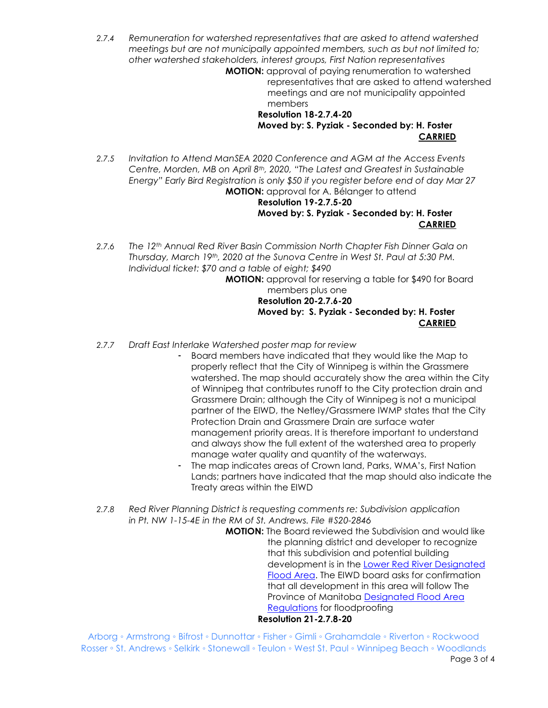*2.7.4 Remuneration for watershed representatives that are asked to attend watershed meetings but are not municipally appointed members, such as but not limited to; other watershed stakeholders, interest groups, First Nation representatives*

**MOTION:** approval of paying renumeration to watershed representatives that are asked to attend watershed meetings and are not municipality appointed members

# **Resolution 18-2.7.4-20 Moved by: S. Pyziak - Seconded by: H. Foster CARRIED**

*2.7.5 Invitation to Attend ManSEA 2020 Conference and AGM at the Access Events Centre, Morden, MB on April 8th, 2020, "The Latest and Greatest in Sustainable Energy" Early Bird Registration is only \$50 if you register before end of day Mar 27* **MOTION:** approval for A. Bélanger to attend

**Resolution 19-2.7.5-20 Moved by: S. Pyziak - Seconded by: H. Foster CARRIED**

*2.7.6 The 12th Annual Red River Basin Commission North Chapter Fish Dinner Gala on Thursday, March 19th, 2020 at the Sunova Centre in West St. Paul at 5:30 PM. Individual ticket: \$70 and a table of eight; \$490*

**MOTION:** approval for reserving a table for \$490 for Board members plus one **Resolution 20-2.7.6-20 Moved by: S. Pyziak - Seconded by: H. Foster CARRIED**

- *2.7.7 Draft East Interlake Watershed poster map for review*
	- Board members have indicated that they would like the Map to properly reflect that the City of Winnipeg is within the Grassmere watershed. The map should accurately show the area within the City of Winnipeg that contributes runoff to the City protection drain and Grassmere Drain; although the City of Winnipeg is not a municipal partner of the EIWD, the Netley/Grassmere IWMP states that the City Protection Drain and Grassmere Drain are surface water management priority areas. It is therefore important to understand and always show the full extent of the watershed area to properly manage water quality and quantity of the waterways.
	- The map indicates areas of Crown land, Parks, WMA's, First Nation Lands; partners have indicated that the map should also indicate the Treaty areas within the EIWD
- *2.7.8 Red River Planning District is requesting comments re: Subdivision application in Pt. NW 1-15-4E in the RM of St. Andrews. File #S20-2846*

**MOTION:** The Board reviewed the Subdivision and would like the planning district and developer to recognize that this subdivision and potential building development is in the [Lower Red River Designated](https://www.gov.mb.ca/mr/livestock/pubs/supporting_pubs/lowerredriver_desfldarea.pdf)   [Flood](https://www.gov.mb.ca/mr/livestock/pubs/supporting_pubs/lowerredriver_desfldarea.pdf) Area. The EIWD board asks for confirmation that all development in this area will follow The Province of Manitoba [Designated Flood Area](http://www.trcm.ca/about-us/contact-us/)  [Regulations](http://www.trcm.ca/about-us/contact-us/) for floodproofing **Resolution 21-2.7.8-20**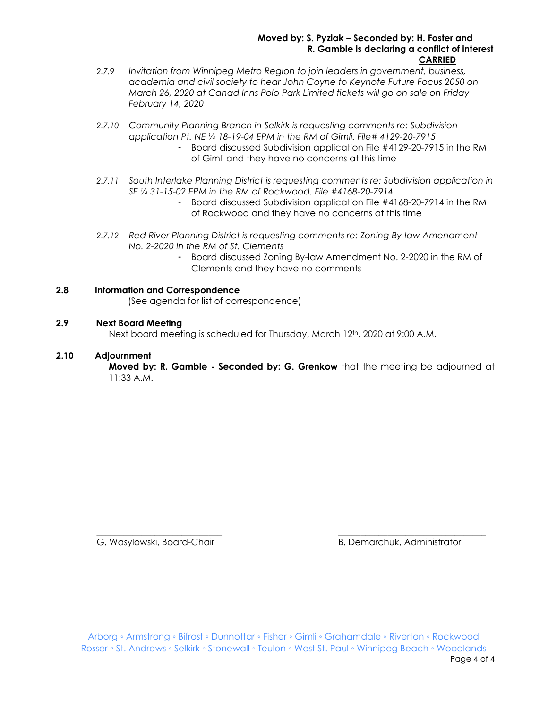#### **Moved by: S. Pyziak – Seconded by: H. Foster and R. Gamble is declaring a conflict of interest CARRIED**

- *2.7.9 Invitation from Winnipeg Metro Region to join leaders in government, business, academia and civil society to hear John Coyne to Keynote Future Focus 2050 on March 26, 2020 at Canad Inns Polo Park Limited tickets will go on sale on Friday February 14, 2020*
- *2.7.10 Community Planning Branch in Selkirk is requesting comments re: Subdivision application Pt. NE ¼ 18-19-04 EPM in the RM of Gimli. File# 4129-20-7915*
	- Board discussed Subdivision application File #4129-20-7915 in the RM of Gimli and they have no concerns at this time
- *2.7.11 South Interlake Planning District is requesting comments re: Subdivision application in SE ¼ 31-15-02 EPM in the RM of Rockwood. File #4168-20-7914*
	- Board discussed Subdivision application File #4168-20-7914 in the RM of Rockwood and they have no concerns at this time
- *2.7.12 Red River Planning District is requesting comments re: Zoning By-law Amendment No. 2-2020 in the RM of St. Clements*
	- Board discussed Zoning By-law Amendment No. 2-2020 in the RM of Clements and they have no comments

# **2.8 Information and Correspondence**

(See agenda for list of correspondence)

# **2.9 Next Board Meeting**

Next board meeting is scheduled for Thursday, March 12<sup>th</sup>, 2020 at 9:00 A.M.

# **2.10 Adjournment**

**Moved by: R. Gamble - Seconded by: G. Grenkow** that the meeting be adjourned at 11:33 A.M.

G. Wasylowski, Board-Chair **B. Demarchuk, Administrator** B. Demarchuk, Administrator

\_\_\_\_\_\_\_\_\_\_\_\_\_\_\_\_\_\_\_\_\_\_\_\_\_\_\_\_ \_\_\_\_\_\_\_\_\_\_\_\_\_\_\_\_\_\_\_\_\_\_\_\_\_\_\_\_\_\_\_\_\_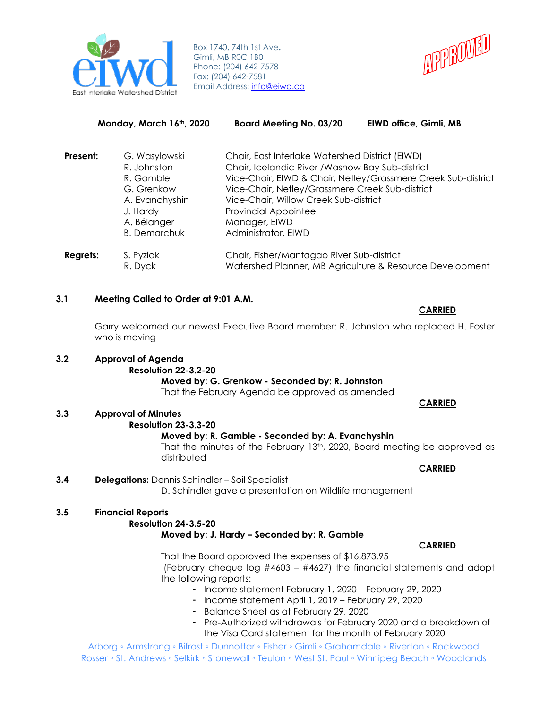

Box 1740, 74th 1st Ave**.** Gimli, MB R0C 1B0 Phone: (204) 642-7578 Fax: (204) 642-7581 Email Address: [info@eiwd.ca](mailto:info@eiwd.ca)



| Monday, March 16th, 2020 |                                                                                                                             | <b>Board Meeting No. 03/20</b>                                                                                                                                                                                                                                         | EIWD office, Gimli, MB                                        |
|--------------------------|-----------------------------------------------------------------------------------------------------------------------------|------------------------------------------------------------------------------------------------------------------------------------------------------------------------------------------------------------------------------------------------------------------------|---------------------------------------------------------------|
| Present:                 | G. Wasylowski<br>R. Johnston<br>R. Gamble<br>G. Grenkow<br>A. Evanchyshin<br>J. Hardy<br>A. Bélanger<br><b>B.</b> Demarchuk | Chair, East Interlake Watershed District (EIWD)<br>Chair, Icelandic River / Washow Bay Sub-district<br>Vice-Chair, Netley/Grassmere Creek Sub-district<br>Vice-Chair, Willow Creek Sub-district<br><b>Provincial Appointee</b><br>Manager, EIWD<br>Administrator, EIWD | Vice-Chair, EIWD & Chair, Netley/Grassmere Creek Sub-district |
| <b>Regrets:</b>          | S. Pyziak<br>R. Dyck                                                                                                        | Chair, Fisher/Mantagao River Sub-district                                                                                                                                                                                                                              | Watershed Planner, MB Agriculture & Resource Development      |

#### **3.1 Meeting Called to Order at 9:01 A.M.**

Garry welcomed our newest Executive Board member: R. Johnston who replaced H. Foster who is moving

# **3.2 Approval of Agenda**

**Resolution 22-3.2-20**

# **Moved by: G. Grenkow - Seconded by: R. Johnston**

That the February Agenda be approved as amended

# **3.3 Approval of Minutes**

**Resolution 23-3.3-20**

#### **Moved by: R. Gamble - Seconded by: A. Evanchyshin**

That the minutes of the February 13<sup>th</sup>, 2020, Board meeting be approved as distributed

#### **CARRIED**

 **CARRIED** 

#### **3.4 Delegations:** Dennis Schindler – Soil Specialist

D. Schindler gave a presentation on Wildlife management

# **3.5 Financial Reports**

#### **Resolution 24-3.5-20**

#### **Moved by: J. Hardy – Seconded by: R. Gamble**

# **CARRIED**

That the Board approved the expenses of \$16,873.95 (February cheque log #4603 – #4627) the financial statements and adopt the following reports:

- Income statement February 1, 2020 February 29, 2020
- Income statement April 1, 2019 February 29, 2020
- Balance Sheet as at February 29, 2020
- Pre-Authorized withdrawals for February 2020 and a breakdown of the Visa Card statement for the month of February 2020

Arborg ◦ Armstrong ◦ Bifrost ◦ Dunnottar ◦ Fisher ◦ Gimli ◦ Grahamdale ◦ Riverton ◦ Rockwood Rosser ◦ St. Andrews ◦ Selkirk ◦ Stonewall ◦ Teulon ◦ West St. Paul ◦ Winnipeg Beach ◦ Woodlands

#### **CARRIED**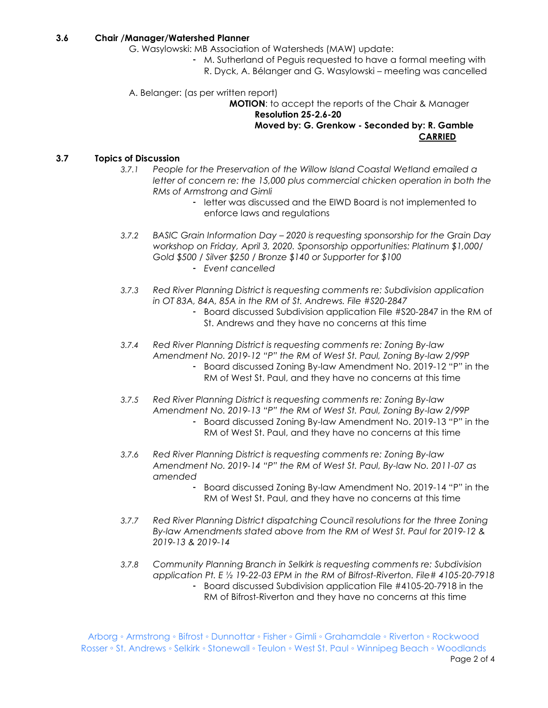#### **3.6 Chair /Manager/Watershed Planner**

- G. Wasylowski: MB Association of Watersheds (MAW) update:
	- M. Sutherland of Peguis requested to have a formal meeting with R. Dyck, A. Bélanger and G. Wasylowski – meeting was cancelled
- A. Belanger: (as per written report)

**MOTION**: to accept the reports of the Chair & Manager **Resolution 25-2.6-20**

**Moved by: G. Grenkow - Seconded by: R. Gamble CARRIED**

## **3.7 Topics of Discussion**

- *3.7.1 People for the Preservation of the Willow Island Coastal Wetland emailed a letter of concern re: the 15,000 plus commercial chicken operation in both the RMs of Armstrong and Gimli*
	- letter was discussed and the EIWD Board is not implemented to enforce laws and regulations
- *3.7.2 BASIC Grain Information Day – 2020 is requesting sponsorship for the Grain Day workshop on Friday, April 3, 2020. Sponsorship opportunities: Platinum \$1,000/ Gold \$500 / Silver \$250 / Bronze \$140 or Supporter for \$100*
	- *Event cancelled*
- *3.7.3 Red River Planning District is requesting comments re: Subdivision application in OT 83A, 84A, 85A in the RM of St. Andrews. File #S20-2847*
	- Board discussed Subdivision application File #S20-2847 in the RM of St. Andrews and they have no concerns at this time
- *3.7.4 Red River Planning District is requesting comments re: Zoning By-law Amendment No. 2019-12 "P" the RM of West St. Paul, Zoning By-law 2/99P*
	- Board discussed Zoning By-law Amendment No. 2019-12 "P" in the RM of West St. Paul, and they have no concerns at this time
- *3.7.5 Red River Planning District is requesting comments re: Zoning By-law Amendment No. 2019-13 "P" the RM of West St. Paul, Zoning By-law 2/99P*
	- Board discussed Zoning By-law Amendment No. 2019-13 "P" in the RM of West St. Paul, and they have no concerns at this time
- *3.7.6 Red River Planning District is requesting comments re: Zoning By-law Amendment No. 2019-14 "P" the RM of West St. Paul, By-law No. 2011-07 as amended*
	- Board discussed Zoning By-law Amendment No. 2019-14 "P" in the RM of West St. Paul, and they have no concerns at this time
- *3.7.7 Red River Planning District dispatching Council resolutions for the three Zoning By-law Amendments stated above from the RM of West St. Paul for 2019-12 & 2019-13 & 2019-14*
- *3.7.8 Community Planning Branch in Selkirk is requesting comments re: Subdivision application Pt. E ½ 19-22-03 EPM in the RM of Bifrost-Riverton. File# 4105-20-7918*
	- Board discussed Subdivision application File #4105-20-7918 in the RM of Bifrost-Riverton and they have no concerns at this time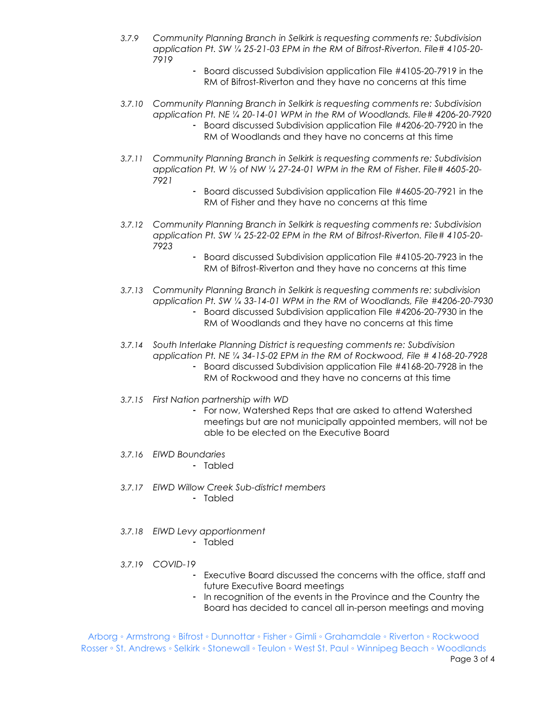- *3.7.9 Community Planning Branch in Selkirk is requesting comments re: Subdivision application Pt. SW ¼ 25-21-03 EPM in the RM of Bifrost-Riverton. File# 4105-20- 7919*
	- Board discussed Subdivision application File #4105-20-7919 in the RM of Bifrost-Riverton and they have no concerns at this time
- *3.7.10 Community Planning Branch in Selkirk is requesting comments re: Subdivision application Pt. NE ¼ 20-14-01 WPM in the RM of Woodlands. File# 4206-20-7920*
	- Board discussed Subdivision application File #4206-20-7920 in the RM of Woodlands and they have no concerns at this time
- *3.7.11 Community Planning Branch in Selkirk is requesting comments re: Subdivision application Pt. W ½ of NW ¼ 27-24-01 WPM in the RM of Fisher. File# 4605-20- 7921*
	- Board discussed Subdivision application File #4605-20-7921 in the RM of Fisher and they have no concerns at this time
- *3.7.12 Community Planning Branch in Selkirk is requesting comments re: Subdivision application Pt. SW ¼ 25-22-02 EPM in the RM of Bifrost-Riverton. File# 4105-20- 7923*
	- Board discussed Subdivision application File #4105-20-7923 in the RM of Bifrost-Riverton and they have no concerns at this time
- *3.7.13 Community Planning Branch in Selkirk is requesting comments re: subdivision application Pt. SW ¼ 33-14-01 WPM in the RM of Woodlands, File #4206-20-7930*
	- Board discussed Subdivision application File #4206-20-7930 in the RM of Woodlands and they have no concerns at this time
- *3.7.14 South Interlake Planning District is requesting comments re: Subdivision application Pt. NE ¼ 34-15-02 EPM in the RM of Rockwood, File # 4168-20-7928*
	- Board discussed Subdivision application File #4168-20-7928 in the RM of Rockwood and they have no concerns at this time
- *3.7.15 First Nation partnership with WD*
	- For now, Watershed Reps that are asked to attend Watershed meetings but are not municipally appointed members, will not be able to be elected on the Executive Board
- *3.7.16 EIWD Boundaries*
	- Tabled
- *3.7.17 EIWD Willow Creek Sub-district members* - Tabled
- *3.7.18 EIWD Levy apportionment*
	- Tabled
- *3.7.19 COVID-19*
	- Executive Board discussed the concerns with the office, staff and future Executive Board meetings
	- In recognition of the events in the Province and the Country the Board has decided to cancel all in-person meetings and moving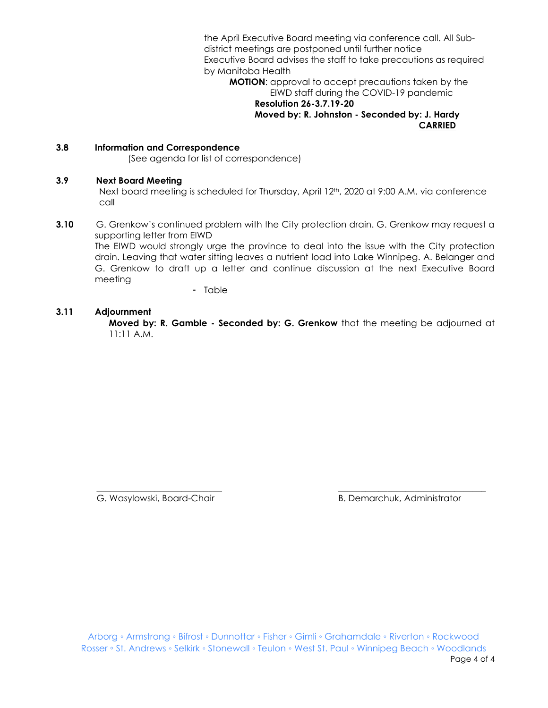the April Executive Board meeting via conference call. All Subdistrict meetings are postponed until further notice Executive Board advises the staff to take precautions as required by Manitoba Health

**MOTION**: approval to accept precautions taken by the EIWD staff during the COVID-19 pandemic

#### **Resolution 26-3.7.19-20 Moved by: R. Johnston - Seconded by: J. Hardy CARRIED**

#### **3.8 Information and Correspondence**

(See agenda for list of correspondence)

#### **3.9 Next Board Meeting**

Next board meeting is scheduled for Thursday, April 12<sup>th</sup>, 2020 at 9:00 A.M. via conference call

**3.10** G. Grenkow's continued problem with the City protection drain. G. Grenkow may request a supporting letter from EIWD

The EIWD would strongly urge the province to deal into the issue with the City protection drain. Leaving that water sitting leaves a nutrient load into Lake Winnipeg. A. Belanger and G. Grenkow to draft up a letter and continue discussion at the next Executive Board meeting

- Table

#### **3.11 Adjournment**

**Moved by: R. Gamble - Seconded by: G. Grenkow** that the meeting be adjourned at 11:11 A.M.

G. Wasylowski, Board-Chair **B. Demarchuk, Administrator** B. Demarchuk, Administrator

\_\_\_\_\_\_\_\_\_\_\_\_\_\_\_\_\_\_\_\_\_\_\_\_\_\_\_\_ \_\_\_\_\_\_\_\_\_\_\_\_\_\_\_\_\_\_\_\_\_\_\_\_\_\_\_\_\_\_\_\_\_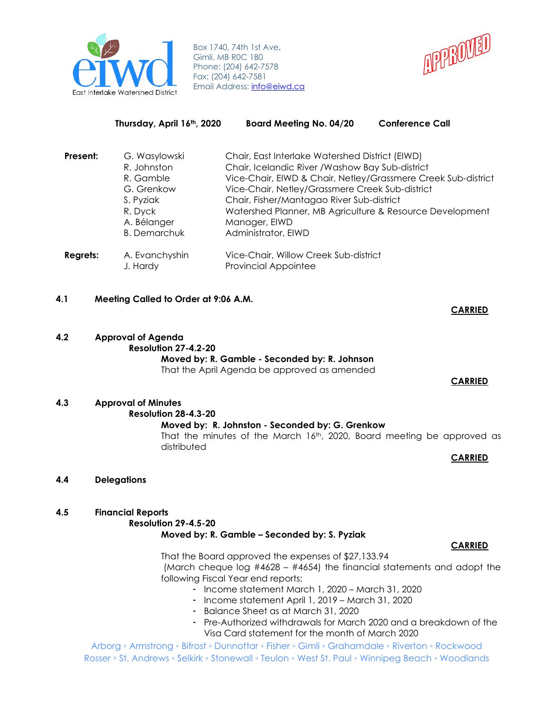

Box 1740, 74th 1st Ave**.** Gimli, MB R0C 1B0 Phone: (204) 642-7578 Fax: (204) 642-7581 Email Address: [info@eiwd.ca](mailto:info@eiwd.ca)



|          | Thursday, April 16th, 2020   | <b>Board Meeting No. 04/20</b>                                                                                   | <b>Conference Call</b> |
|----------|------------------------------|------------------------------------------------------------------------------------------------------------------|------------------------|
| Present: | G. Wasylowski<br>R. Johnston | Chair, East Interlake Watershed District (EIWD)<br>Chair, Icelandic River / Washow Bay Sub-district              |                        |
|          | R. Gamble<br>G. Grenkow      | Vice-Chair, EIWD & Chair, Netley/Grassmere Creek Sub-district<br>Vice-Chair, Netley/Grassmere Creek Sub-district |                        |
|          | S. Pyziak                    | Chair, Fisher/Mantagao River Sub-district                                                                        |                        |
|          | R. Dyck<br>A. Bélanger       | Watershed Planner, MB Agriculture & Resource Development<br>Manager, EIWD                                        |                        |
|          | <b>B.</b> Demarchuk          | Administrator, EIWD                                                                                              |                        |
| Regrets: | A. Evanchyshin<br>J. Hardy   | Vice-Chair, Willow Creek Sub-district<br><b>Provincial Appointee</b>                                             |                        |

### **4.1 Meeting Called to Order at 9:06 A.M.**

**4.2 Approval of Agenda Resolution 27-4.2-20 Moved by: R. Gamble - Seconded by: R. Johnson** That the April Agenda be approved as amended

# **CARRIED**

**CARRIED**

#### **4.3 Approval of Minutes Resolution 28-4.3-20 Moved by: R. Johnston - Seconded by: G. Grenkow** That the minutes of the March  $16<sup>th</sup>$ , 2020, Board meeting be approved as distributed **CARRIED**

- **4.4 Delegations**
- **4.5 Financial Reports**

# **Resolution 29-4.5-20 Moved by: R. Gamble – Seconded by: S. Pyziak**

#### **CARRIED**

That the Board approved the expenses of \$27,133.94 (March cheque log  $#4628 - #4654$ ) the financial statements and adopt the following Fiscal Year end reports:

- Income statement March 1, 2020 March 31, 2020
- Income statement April 1, 2019 March 31, 2020
- Balance Sheet as at March 31, 2020
- Pre-Authorized withdrawals for March 2020 and a breakdown of the Visa Card statement for the month of March 2020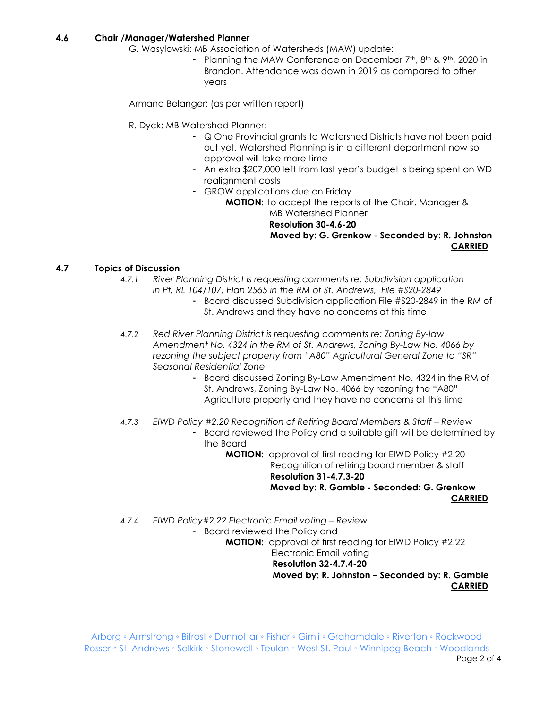#### **4.6 Chair /Manager/Watershed Planner**

- G. Wasylowski: MB Association of Watersheds (MAW) update:
	- Planning the MAW Conference on December 7<sup>th</sup>, 8<sup>th</sup> & 9<sup>th</sup>, 2020 in Brandon. Attendance was down in 2019 as compared to other years

Armand Belanger: (as per written report)

- R. Dyck: MB Watershed Planner:
	- Q One Provincial grants to Watershed Districts have not been paid out yet. Watershed Planning is in a different department now so approval will take more time
	- An extra \$207,000 left from last year's budget is being spent on WD realignment costs
	- GROW applications due on Friday

**MOTION**: to accept the reports of the Chair, Manager & MB Watershed Planner  **Resolution 30-4.6-20 Moved by: G. Grenkow - Seconded by: R. Johnston CARRIED**

### **4.7 Topics of Discussion**

- *4.7.1 River Planning District is requesting comments re: Subdivision application in Pt. RL 104/107, Plan 2565 in the RM of St. Andrews, File #S20-2849*
	- Board discussed Subdivision application File #S20-2849 in the RM of St. Andrews and they have no concerns at this time
- *4.7.2 Red River Planning District is requesting comments re: Zoning By-law Amendment No. 4324 in the RM of St. Andrews, Zoning By-Law No. 4066 by rezoning the subject property from "A80" Agricultural General Zone to "SR" Seasonal Residential Zone*
	- Board discussed Zoning By-Law Amendment No. 4324 in the RM of St. Andrews, Zoning By-Law No. 4066 by rezoning the "A80" Agriculture property and they have no concerns at this time
- *4.7.3 EIWD Policy #2.20 Recognition of Retiring Board Members & Staff – Review*
	- Board reviewed the Policy and a suitable gift will be determined by the Board

**MOTION:** approval of first reading for EIWD Policy #2.20 Recognition of retiring board member & staff  **Resolution 31-4.7.3-20 Moved by: R. Gamble - Seconded: G. Grenkow CARRIED**

*4.7.4 EIWD Policy#2.22 Electronic Email voting – Review* - Board reviewed the Policy and **MOTION:** approval of first reading for EIWD Policy #2.22 Electronic Email voting **Resolution 32-4.7.4-20 Moved by: R. Johnston – Seconded by: R. Gamble CARRIED**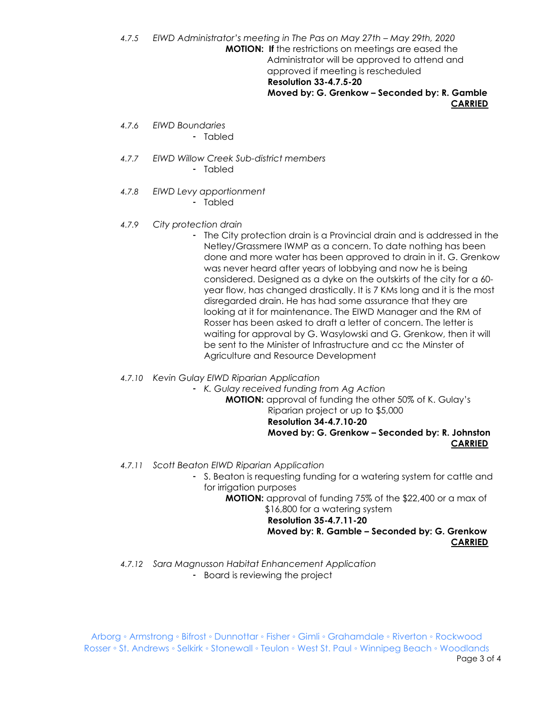*4.7.5 EIWD Administrator's meeting in The Pas on May 27th – May 29th, 2020* **MOTION: If** the restrictions on meetings are eased the Administrator will be approved to attend and approved if meeting is rescheduled  **Resolution 33-4.7.5-20 Moved by: G. Grenkow – Seconded by: R. Gamble CARRIED**

- *4.7.6 EIWD Boundaries*
	- Tabled
- *4.7.7 EIWD Willow Creek Sub-district members*
	- Tabled
- *4.7.8 EIWD Levy apportionment*
	- Tabled
- *4.7.9 City protection drain*
	- The City protection drain is a Provincial drain and is addressed in the Netley/Grassmere IWMP as a concern. To date nothing has been done and more water has been approved to drain in it. G. Grenkow was never heard after years of lobbying and now he is being considered. Designed as a dyke on the outskirts of the city for a 60 year flow, has changed drastically. It is 7 KMs long and it is the most disregarded drain. He has had some assurance that they are looking at it for maintenance. The EIWD Manager and the RM of Rosser has been asked to draft a letter of concern. The letter is waiting for approval by G. Wasylowski and G. Grenkow, then it will be sent to the Minister of Infrastructure and cc the Minster of Agriculture and Resource Development
- *4.7.10 Kevin Gulay EIWD Riparian Application*
	- *K. Gulay received funding from Ag Action*

**MOTION:** approval of funding the other 50% of K. Gulay's

Riparian project or up to \$5,000

 **Resolution 34-4.7.10-20**

 **Moved by: G. Grenkow – Seconded by: R. Johnston CARRIED**

- *4.7.11 Scott Beaton EIWD Riparian Application*
	- S. Beaton is requesting funding for a watering system for cattle and for irrigation purposes

**MOTION:** approval of funding 75% of the \$22,400 or a max of \$16,800 for a watering system

 **Resolution 35-4.7.11-20**

 **Moved by: R. Gamble – Seconded by: G. Grenkow CARRIED**

*4.7.12 Sara Magnusson Habitat Enhancement Application* - Board is reviewing the project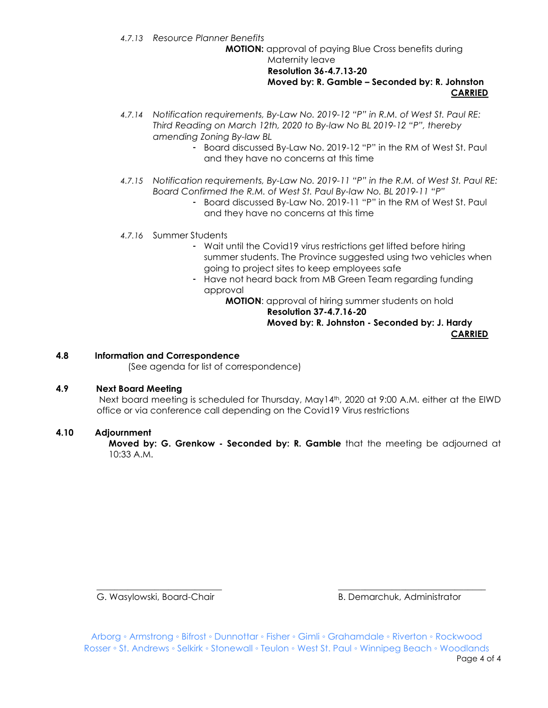*4.7.13 Resource Planner Benefits*

**MOTION:** approval of paying Blue Cross benefits during Maternity leave

#### **Resolution 36-4.7.13-20 Moved by: R. Gamble – Seconded by: R. Johnston CARRIED**

- *4.7.14 Notification requirements, By-Law No. 2019-12 "P" in R.M. of West St. Paul RE: Third Reading on March 12th, 2020 to By-law No BL 2019-12 "P", thereby amending Zoning By-law BL*
	- Board discussed By-Law No. 2019-12 "P" in the RM of West St. Paul and they have no concerns at this time
- *4.7.15 Notification requirements, By-Law No. 2019-11 "P" in the R.M. of West St. Paul RE: Board Confirmed the R.M. of West St. Paul By-law No. BL 2019-11 "P"*
	- Board discussed By-Law No. 2019-11 "P" in the RM of West St. Paul and they have no concerns at this time

### *4.7.16* Summer Students

- Wait until the Covid19 virus restrictions get lifted before hiring summer students. The Province suggested using two vehicles when going to project sites to keep employees safe
- Have not heard back from MB Green Team regarding funding approval

**MOTION**: approval of hiring summer students on hold  **Resolution 37-4.7.16-20 Moved by: R. Johnston - Seconded by: J. Hardy CARRIED**

#### **4.8 Information and Correspondence**

(See agenda for list of correspondence)

#### **4.9 Next Board Meeting**

Next board meeting is scheduled for Thursday, May14th, 2020 at 9:00 A.M. either at the EIWD office or via conference call depending on the Covid19 Virus restrictions

#### **4.10 Adjournment**

**Moved by: G. Grenkow - Seconded by: R. Gamble** that the meeting be adjourned at 10:33 A.M.

G. Wasylowski, Board-Chair **B. Demarchuk, Administrator** B. Demarchuk, Administrator

Arborg ◦ Armstrong ◦ Bifrost ◦ Dunnottar ◦ Fisher ◦ Gimli ◦ Grahamdale ◦ Riverton ◦ Rockwood Rosser ◦ St. Andrews ◦ Selkirk ◦ Stonewall ◦ Teulon ◦ West St. Paul ◦ Winnipeg Beach ◦ Woodlands Page 4 of 4

\_\_\_\_\_\_\_\_\_\_\_\_\_\_\_\_\_\_\_\_\_\_\_\_\_\_\_\_ \_\_\_\_\_\_\_\_\_\_\_\_\_\_\_\_\_\_\_\_\_\_\_\_\_\_\_\_\_\_\_\_\_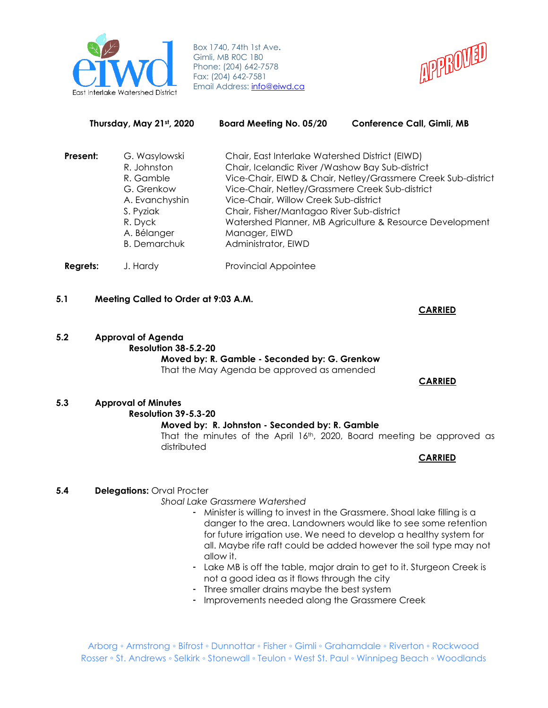

Box 1740, 74th 1st Ave**.** Gimli, MB R0C 1B0 Phone: (204) 642-7578 Fax: (204) 642-7581 Email Address: [info@ei](mailto:info@eiwd.ca)wd.ca



| Thursday, May 21st, 2020 |                                                                                                                                         | <b>Board Meeting No. 05/20</b>                                                                                                                                                                                                                                                       | <b>Conference Call, Gimli, MB</b>                                                                                         |
|--------------------------|-----------------------------------------------------------------------------------------------------------------------------------------|--------------------------------------------------------------------------------------------------------------------------------------------------------------------------------------------------------------------------------------------------------------------------------------|---------------------------------------------------------------------------------------------------------------------------|
| Present:                 | G. Wasylowski<br>R. Johnston<br>R. Gamble<br>G. Grenkow<br>A. Evanchyshin<br>S. Pyziak<br>R. Dyck<br>A. Bélanger<br><b>B.</b> Demarchuk | Chair, East Interlake Watershed District (EIWD)<br>Chair, Icelandic River / Washow Bay Sub-district<br>Vice-Chair, Netley/Grassmere Creek Sub-district<br>Vice-Chair, Willow Creek Sub-district<br>Chair, Fisher/Mantagao River Sub-district<br>Manager, EIWD<br>Administrator, EIWD | Vice-Chair, EIWD & Chair, Netley/Grassmere Creek Sub-district<br>Watershed Planner, MB Agriculture & Resource Development |
| <b>Regrets:</b>          | J. Hardy                                                                                                                                | <b>Provincial Appointee</b>                                                                                                                                                                                                                                                          |                                                                                                                           |

**5.1 Meeting Called to Order at 9:03 A.M.**

**5.2 Approval of Agenda Resolution 38-5.2-20**

**Moved by: R. Gamble - Seconded by: G. Grenkow** That the May Agenda be approved as amended

#### **CARRIED**

**CARRIED**

#### **5.3 Approval of Minutes Resolution 39-5.3-20 Moved by: R. Johnston - Seconded by: R. Gamble** That the minutes of the April  $16<sup>th</sup>$ , 2020, Board meeting be approved as distributed

**CARRIED**

# **5.4 Delegations: Orval Procter**

*Shoal Lake Grassmere Watershed*

- Minister is willing to invest in the Grassmere. Shoal lake filling is a danger to the area. Landowners would like to see some retention for future irrigation use. We need to develop a healthy system for all. Maybe rife raft could be added however the soil type may not allow it.
- Lake MB is off the table, major drain to get to it. Sturgeon Creek is not a good idea as it flows through the city
- Three smaller drains maybe the best system
- Improvements needed along the Grassmere Creek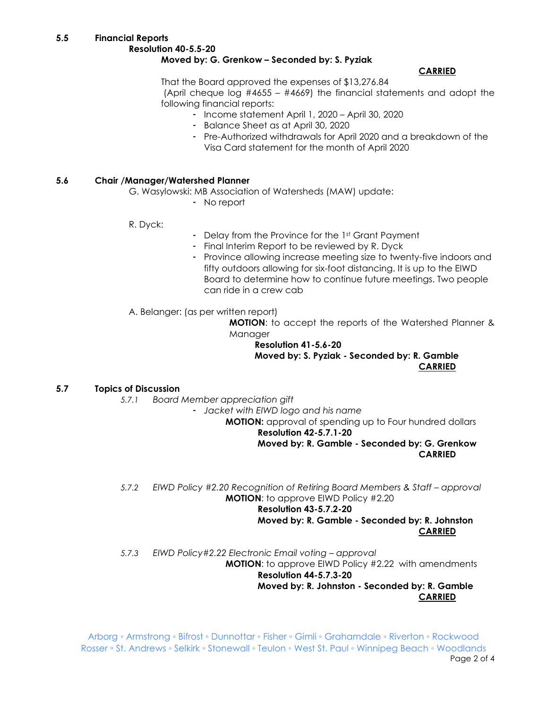# **Resolution 40-5.5-20 Moved by: G. Grenkow – Seconded by: S. Pyziak**

# **CARRIED**

That the Board approved the expenses of \$13,276.84 (April cheque log #4655 – #4669) the financial statements and adopt the following financial reports:

- Income statement April 1, 2020 April 30, 2020
- Balance Sheet as at April 30, 2020
- Pre-Authorized withdrawals for April 2020 and a breakdown of the Visa Card statement for the month of April 2020

# **5.6 Chair /Manager/Watershed Planner**

G. Wasylowski: MB Association of Watersheds (MAW) update:

- No report

R. Dyck:

- Delay from the Province for the 1st Grant Payment
- Final Interim Report to be reviewed by R. Dyck
- Province allowing increase meeting size to twenty-five indoors and fifty outdoors allowing for six-foot distancing. It is up to the EIWD Board to determine how to continue future meetings. Two people can ride in a crew cab

A. Belanger: (as per written report)

**MOTION**: to accept the reports of the Watershed Planner & Manager

**Resolution 41-5.6-20 Moved by: S. Pyziak - Seconded by: R. Gamble CARRIED**

# **5.7 Topics of Discussion**

*5.7.1 Board Member appreciation gift*

- *Jacket with EIWD logo and his name*

**MOTION:** approval of spending up to Four hundred dollars **Resolution 42-5.7.1-20**

**Moved by: R. Gamble - Seconded by: G. Grenkow CARRIED**

*5.7.2 EIWD Policy #2.20 Recognition of Retiring Board Members & Staff – approval* **MOTION**: to approve EIWD Policy #2.20

# **Resolution 43-5.7.2-20**

**Moved by: R. Gamble - Seconded by: R. Johnston CARRIED**

*5.7.3 EIWD Policy#2.22 Electronic Email voting – approval* **MOTION**: to approve EIWD Policy #2.22 with amendments **Resolution 44-5.7.3-20 Moved by: R. Johnston - Seconded by: R. Gamble**

**CARRIED**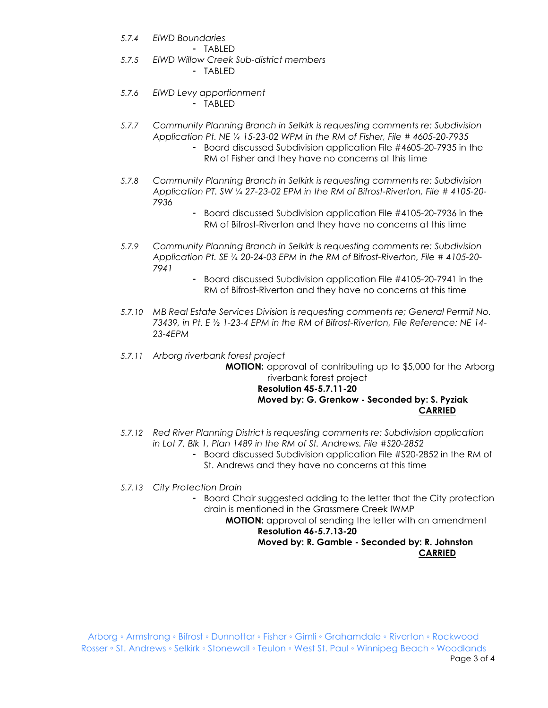- *5.7.4 EIWD Boundaries*
	- TABLED
- *5.7.5 EIWD Willow Creek Sub-district members*
	- TABLED
- *5.7.6 EIWD Levy apportionment*
	- TABLED
- *5.7.7 Community Planning Branch in Selkirk is requesting comments re: Subdivision Application Pt. NE ¼ 15-23-02 WPM in the RM of Fisher, File # 4605-20-7935*
	- Board discussed Subdivision application File #4605-20-7935 in the RM of Fisher and they have no concerns at this time
- *5.7.8 Community Planning Branch in Selkirk is requesting comments re: Subdivision Application PT. SW ¼ 27-23-02 EPM in the RM of Bifrost-Riverton, File # 4105-20- 7936*
	- Board discussed Subdivision application File #4105-20-7936 in the RM of Bifrost-Riverton and they have no concerns at this time
- *5.7.9 Community Planning Branch in Selkirk is requesting comments re: Subdivision Application Pt. SE ¼ 20-24-03 EPM in the RM of Bifrost-Riverton, File # 4105-20- 7941*
	- Board discussed Subdivision application File #4105-20-7941 in the RM of Bifrost-Riverton and they have no concerns at this time
- *5.7.10 MB Real Estate Services Division is requesting comments re; General Permit No. 73439, in Pt. E ½ 1-23-4 EPM in the RM of Bifrost-Riverton, File Reference: NE 14- 23-4EPM*
- *5.7.11 Arborg riverbank forest project*

**MOTION:** approval of contributing up to \$5,000 for the Arborg riverbank forest project

#### **Resolution 45-5.7.11-20 Moved by: G. Grenkow - Seconded by: S. Pyziak CARRIED**

- *5.7.12 Red River Planning District is requesting comments re: Subdivision application in Lot 7, Blk 1, Plan 1489 in the RM of St. Andrews. File #S20-2852*
	- Board discussed Subdivision application File #S20-2852 in the RM of St. Andrews and they have no concerns at this time
- *5.7.13 City Protection Drain*
	- Board Chair suggested adding to the letter that the City protection drain is mentioned in the Grassmere Creek IWMP

**MOTION:** approval of sending the letter with an amendment **Resolution 46-5.7.13-20**

### **Moved by: R. Gamble - Seconded by: R. Johnston CARRIED**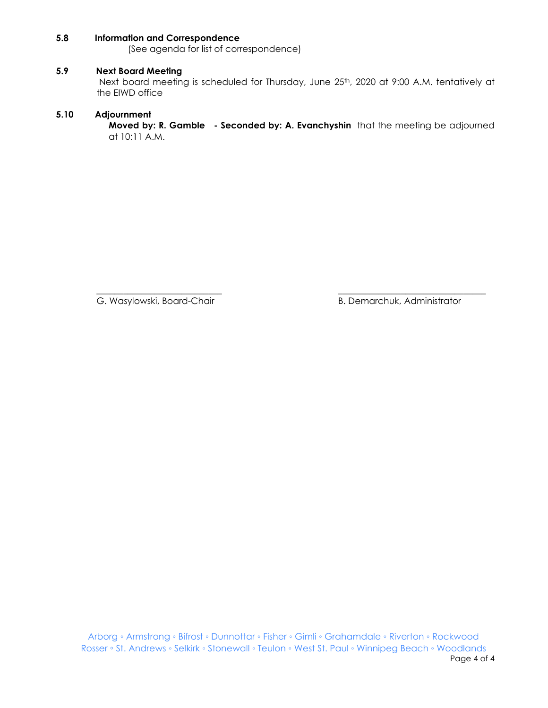#### **5.8 Information and Correspondence**

(See agenda for list of correspondence)

#### **5.9 Next Board Meeting**

Next board meeting is scheduled for Thursday, June 25th, 2020 at 9:00 A.M. tentatively at the EIWD office

#### **5.10 Adjournment**

**Moved by: R. Gamble - Seconded by: A. Evanchyshin** that the meeting be adjourned at 10:11 A.M.

\_\_\_\_\_\_\_\_\_\_\_\_\_\_\_\_\_\_\_\_\_\_\_\_\_\_\_\_ \_\_\_\_\_\_\_\_\_\_\_\_\_\_\_\_\_\_\_\_\_\_\_\_\_\_\_\_\_\_\_\_\_

G. Wasylowski, Board-Chair **B. Demarchuk, Administrator** B. Demarchuk, Administrator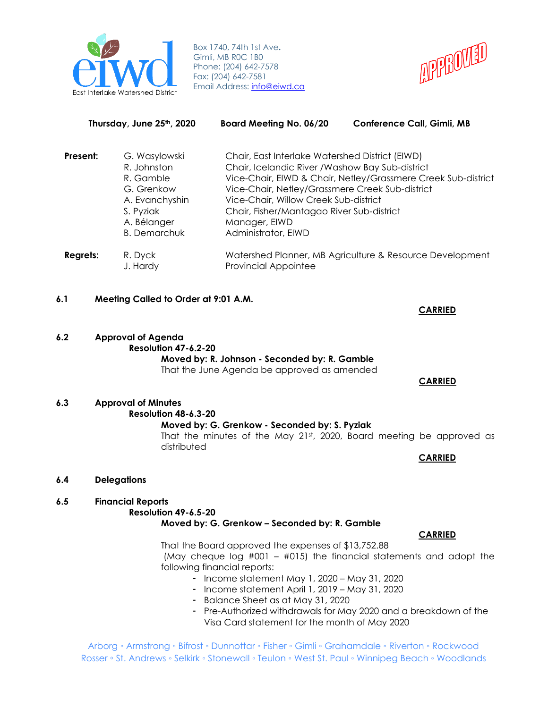

Box 1740, 74th 1st Ave**.** Gimli, MB R0C 1B0 Phone: (204) 642-7578 Fax: (204) 642-7581 Email Address: [info@ei](mailto:info@eiwd.ca)wd.ca



| Thursday, June 25th, 2020 |                                                                                                                              | Board Meeting No. 06/20                                                                                                                                                                                                                                                              | <b>Conference Call, Gimli, MB</b>                             |
|---------------------------|------------------------------------------------------------------------------------------------------------------------------|--------------------------------------------------------------------------------------------------------------------------------------------------------------------------------------------------------------------------------------------------------------------------------------|---------------------------------------------------------------|
| Present:                  | G. Wasylowski<br>R. Johnston<br>R. Gamble<br>G. Grenkow<br>A. Evanchyshin<br>S. Pyziak<br>A. Bélanger<br><b>B.</b> Demarchuk | Chair, East Interlake Watershed District (EIWD)<br>Chair, Icelandic River / Washow Bay Sub-district<br>Vice-Chair, Netley/Grassmere Creek Sub-district<br>Vice-Chair, Willow Creek Sub-district<br>Chair, Fisher/Mantagao River Sub-district<br>Manager, EIWD<br>Administrator, EIWD | Vice-Chair, EIWD & Chair, Netley/Grassmere Creek Sub-district |
| Regrets:                  | R. Dyck<br>J. Hardy                                                                                                          | <b>Provincial Appointee</b>                                                                                                                                                                                                                                                          | Watershed Planner, MB Agriculture & Resource Development      |

- **6.1 Meeting Called to Order at 9:01 A.M.**
- **6.2 Approval of Agenda Resolution 47-6.2-20 Moved by: R. Johnson - Seconded by: R. Gamble** That the June Agenda be approved as amended
- **6.3 Approval of Minutes Resolution 48-6.3-20 Moved by: G. Grenkow - Seconded by: S. Pyziak**

That the minutes of the May  $21^{st}$ , 2020, Board meeting be approved as distributed

**CARRIED**

**6.4 Delegations**

# **6.5 Financial Reports**

**Resolution 49-6.5-20**

#### **Moved by: G. Grenkow – Seconded by: R. Gamble**

**CARRIED**

That the Board approved the expenses of \$13,752.88 (May cheque log #001 – #015) the financial statements and adopt the following financial reports:

- Income statement May 1, 2020 May 31, 2020
- Income statement April 1, 2019 May 31, 2020
- Balance Sheet as at May 31, 2020
- Pre-Authorized withdrawals for May 2020 and a breakdown of the Visa Card statement for the month of May 2020

Arborg ◦ Armstrong ◦ Bifrost ◦ Dunnottar ◦ Fisher ◦ Gimli ◦ Grahamdale ◦ Riverton ◦ Rockwood Rosser ◦ St. Andrews ◦ Selkirk ◦ Stonewall ◦ Teulon ◦ West St. Paul ◦ Winnipeg Beach ◦ Woodlands

**CARRIED**

 **CARRIED**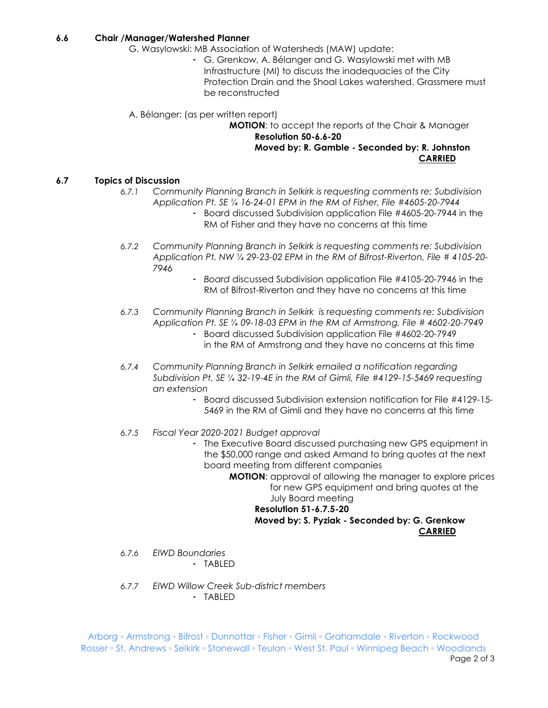#### **6.6 Chair /Manager/Watershed Planner**

- G. Wasylowski: MB Association of Watersheds (MAW) update:
	- G. Grenkow, A. Bélanger and G. Wasylowski met with MB Infrastructure (MI) to discuss the inadequacies of the City Protection Drain and the Shoal Lakes watershed. Grassmere must be reconstructed

A. Bélanger: (as per written report)

**MOTION**: to accept the reports of the Chair & Manager **Resolution 50-6.6-20 Moved by: R. Gamble - Seconded by: R. Johnston CARRIED**

#### **6.7 Topics of Discussion**

- *6.7.1 Community Planning Branch in Selkirk is requesting comments re: Subdivision Application Pt. SE ¼ 16-24-01 EPM in the RM of Fisher, File #4605-20-7944*
	- Board discussed Subdivision application File #4605-20-7944 in the RM of Fisher and they have no concerns at this time
- *6.7.2 Community Planning Branch in Selkirk is requesting comments re: Subdivision Application Pt. NW ¼ 29-23-02 EPM in the RM of Bifrost-Riverton, File # 4105-20- 7946*
	- *Board* discussed Subdivision application File #4105-20-7946 in the RM of Bifrost-Riverton and they have no concerns at this time
- *6.7.3 Community Planning Branch in Selkirk is requesting comments re: Subdivision Application Pt. SE ¼ 09-18-03 EPM in the RM of Armstrong, File # 4602-20-7949*
	- Board discussed Subdivision application File #4602-20-7949 in the RM of Armstrong and they have no concerns at this time
- *6.7.4 Community Planning Branch in Selkirk emailed a notification regarding Subdivision Pt. SE ¼ 32-19-4E in the RM of Gimli, File #4129-15-5469 requesting an extension*
	- Board discussed Subdivision extension notification for File #4129-15- 5469 in the RM of Gimli and they have no concerns at this time
- *6.7.5 Fiscal Year 2020-2021 Budget approval*
	- The Executive Board discussed purchasing new GPS equipment in the \$50,000 range and asked Armand to bring quotes at the next board meeting from different companies

**MOTION**: approval of allowing the manager to explore prices for new GPS equipment and bring quotes at the July Board meeting **Resolution 51-6.7.5-20**

**Moved by: S. Pyziak - Seconded by: G. Grenkow CARRIED**

- *6.7.6 EIWD Boundaries*
	- TABLED
- *6.7.7 EIWD Willow Creek Sub-district members* - TABLED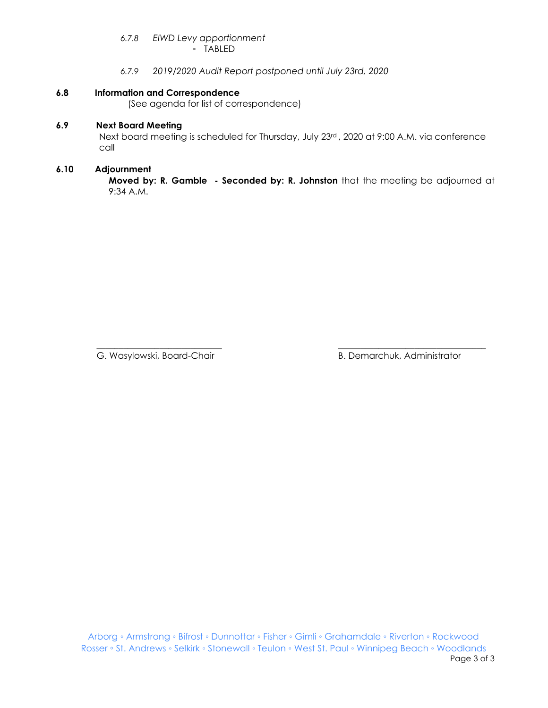# *6.7.8 EIWD Levy apportionment*

- TABLED

*6.7.9 2019/2020 Audit Report postponed until July 23rd, 2020*

#### **6.8 Information and Correspondence**

(See agenda for list of correspondence)

### **6.9 Next Board Meeting**

Next board meeting is scheduled for Thursday, July 23rd , 2020 at 9:00 A.M. via conference call

#### **6.10 Adjournment**

**Moved by: R. Gamble - Seconded by: R. Johnston** that the meeting be adjourned at 9:34 A.M.

 $\overline{\phantom{a}}$  , and the contribution of the contribution of the contribution of the contribution of the contribution of the contribution of the contribution of the contribution of the contribution of the contribution of the G. Wasylowski, Board-Chair **B. Demarchuk, Administrator** B. Demarchuk, Administrator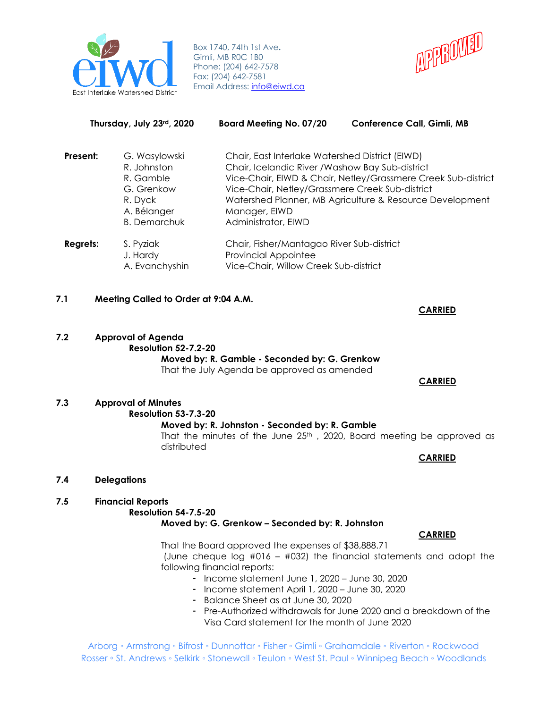

Box 1740, 74th 1st Ave**.** Gimli, MB R0C 1B0 Phone: (204) 642-7578 Fax: (204) 642-7581 Email Address: [info@ei](mailto:info@eiwd.ca)wd.ca



| Thursday, July 23rd, 2020 |                                                                                                          | <b>Board Meeting No. 07/20</b>                                                                                                                                                                 | <b>Conference Call, Gimli, MB</b>                                                                                         |
|---------------------------|----------------------------------------------------------------------------------------------------------|------------------------------------------------------------------------------------------------------------------------------------------------------------------------------------------------|---------------------------------------------------------------------------------------------------------------------------|
| Present:                  | G. Wasylowski<br>R. Johnston<br>R. Gamble<br>G. Grenkow<br>R. Dyck<br>A. Bélanger<br><b>B.</b> Demarchuk | Chair, East Interlake Watershed District (EIWD)<br>Chair, Icelandic River / Washow Bay Sub-district<br>Vice-Chair, Netley/Grassmere Creek Sub-district<br>Manager, EIWD<br>Administrator, EIWD | Vice-Chair, EIWD & Chair, Netley/Grassmere Creek Sub-district<br>Watershed Planner, MB Agriculture & Resource Development |
| Regrets:                  | S. Pyziak<br>J. Hardy<br>A. Evanchyshin                                                                  | Chair, Fisher/Mantagao River Sub-district<br><b>Provincial Appointee</b><br>Vice-Chair, Willow Creek Sub-district                                                                              |                                                                                                                           |

#### **7.1 Meeting Called to Order at 9:04 A.M.**

**7.2 Approval of Agenda Resolution 52-7.2-20 Moved by: R. Gamble - Seconded by: G. Grenkow** That the July Agenda be approved as amended

#### **CARRIED**

**CARRIED**

# **7.3 Approval of Minutes Resolution 53-7.3-20 Moved by: R. Johnston - Seconded by: R. Gamble**

That the minutes of the June  $25<sup>th</sup>$ , 2020, Board meeting be approved as distributed

**CARRIED**

#### **7.4 Delegations**

# **7.5 Financial Reports**

#### **Resolution 54-7.5-20**

#### **Moved by: G. Grenkow – Seconded by: R. Johnston**

#### **CARRIED**

That the Board approved the expenses of \$38,888.71

(June cheque log  $#016 - #032$ ) the financial statements and adopt the following financial reports:

- Income statement June 1, 2020 June 30, 2020
- Income statement April 1, 2020 June 30, 2020
- Balance Sheet as at June 30, 2020
- Pre-Authorized withdrawals for June 2020 and a breakdown of the Visa Card statement for the month of June 2020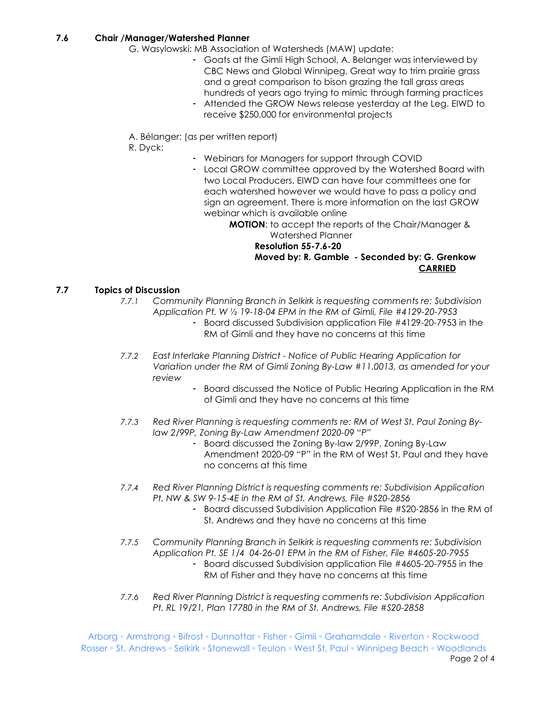#### **7.6 Chair /Manager/Watershed Planner**

- G. Wasylowski: MB Association of Watersheds (MAW) update:
	- Goats at the Gimli High School, A. Belanger was interviewed by CBC News and Global Winnipeg. Great way to trim prairie grass and a great comparison to bison grazing the tall grass areas hundreds of years ago trying to mimic through farming practices
	- Attended the GROW News release yesterday at the Leg. EIWD to receive \$250,000 for environmental projects
- A. Bélanger: (as per written report)

R. Dyck:

- Webinars for Managers for support through COVID
- Local GROW committee approved by the Watershed Board with two Local Producers. EIWD can have four committees one for each watershed however we would have to pass a policy and sign an agreement. There is more information on the last GROW webinar which is available online

**MOTION**: to accept the reports of the Chair/Manager & Watershed Planner

#### **Resolution 55-7.6-20 Moved by: R. Gamble - Seconded by: G. Grenkow CARRIED**

### **7.7 Topics of Discussion**

- *7.7.1 Community Planning Branch in Selkirk is requesting comments re: Subdivision Application Pt. W ½ 19-18-04 EPM in the RM of Gimli, File #4129-20-7953* - Board discussed Subdivision application File #4129-20-7953 in the RM of Gimli and they have no concerns at this time
- *7.7.2 East Interlake Planning District - Notice of Public Hearing Application for Variation under the RM of Gimli Zoning By-Law #11.0013, as amended for your review*
	- Board discussed the Notice of Public Hearing Application in the RM of Gimli and they have no concerns at this time
- *7.7.3 Red River Planning is requesting comments re: RM of West St. Paul Zoning Bylaw 2/99P, Zoning By-Law Amendment 2020-09 "P"*
	- Board discussed the Zoning By-law 2/99P, Zoning By-Law Amendment 2020-09 "P" in the RM of West St. Paul and they have no concerns at this time
- *7.7.4 Red River Planning District is requesting comments re: Subdivision Application Pt. NW & SW 9-15-4E in the RM of St. Andrews, File #S20-2856*
	- Board discussed Subdivision Application File #S20-2856 in the RM of St. Andrews and they have no concerns at this time
- *7.7.5 Community Planning Branch in Selkirk is requesting comments re: Subdivision Application Pt. SE 1/4 04-26-01 EPM in the RM of Fisher, File #4605-20-7955*
	- Board discussed Subdivision application File #4605-20-7955 in the RM of Fisher and they have no concerns at this time
- *7.7.6 Red River Planning District is requesting comments re: Subdivision Application Pt. RL 19/21, Plan 17780 in the RM of St. Andrews, File #S20-2858*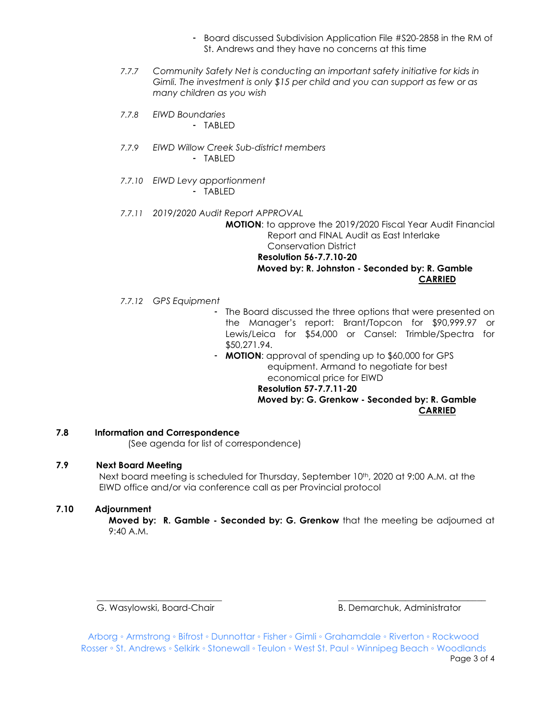- Board discussed Subdivision Application File #S20-2858 in the RM of St. Andrews and they have no concerns at this time
- *7.7.7 Community Safety Net is conducting an important safety initiative for kids in Gimli. The investment is only \$15 per child and you can support as few or as many children as you wish*
- *7.7.8 EIWD Boundaries*
	- TABLED
- *7.7.9 EIWD Willow Creek Sub-district members* - TABLED
- *7.7.10 EIWD Levy apportionment* - TABLED
- *7.7.11 2019/2020 Audit Report APPROVAL* **MOTION**: to approve the 2019/2020 Fiscal Year Audit Financial Report and FINAL Audit as East Interlake Conservation District **Resolution 56-7.7.10-20 Moved by: R. Johnston - Seconded by: R. Gamble CARRIED**
- *7.7.12 GPS Equipment*
	- The Board discussed the three options that were presented on the Manager's report: Brant/Topcon for \$90,999.97 or Lewis/Leica for \$54,000 or Cansel: Trimble/Spectra for \$50,271.94.
	- **MOTION**: approval of spending up to \$60,000 for GPS equipment. Armand to negotiate for best economical price for EIWD **Resolution 57-7.7.11-20 Moved by: G. Grenkow - Seconded by: R. Gamble CARRIED**

#### **7.8 Information and Correspondence**

(See agenda for list of correspondence)

#### **7.9 Next Board Meeting**

Next board meeting is scheduled for Thursday, September 10<sup>th</sup>, 2020 at 9:00 A.M. at the EIWD office and/or via conference call as per Provincial protocol

#### **7.10 Adjournment**

**Moved by: R. Gamble - Seconded by: G. Grenkow** that the meeting be adjourned at 9:40 A.M.

G. Wasylowski, Board-Chair **B. Demarchuk, Administrator** B. Demarchuk, Administrator

Arborg ◦ Armstrong ◦ Bifrost ◦ Dunnottar ◦ Fisher ◦ Gimli ◦ Grahamdale ◦ Riverton ◦ Rockwood Rosser ◦ St. Andrews ◦ Selkirk ◦ Stonewall ◦ Teulon ◦ West St. Paul ◦ Winnipeg Beach ◦ Woodlands Page 3 of 4

 $\overline{\phantom{a}}$  , and the contribution of the contribution of the contribution of the contribution of the contribution of the contribution of the contribution of the contribution of the contribution of the contribution of the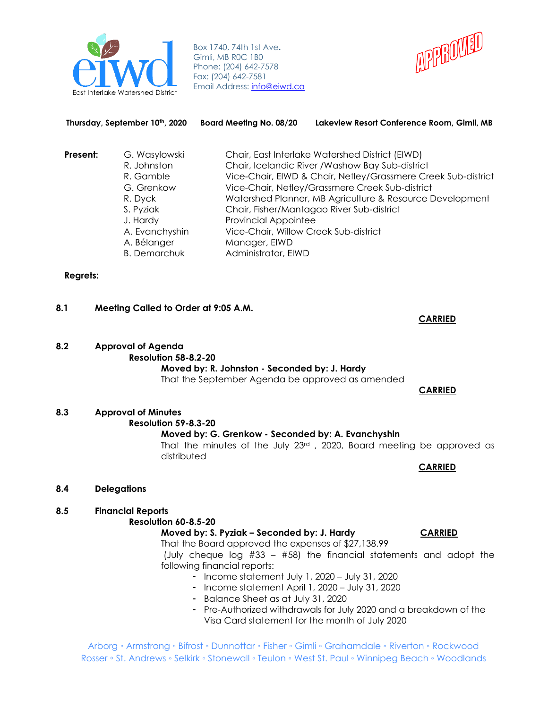

Box 1740, 74th 1st Ave**.** Gimli, MB R0C 1B0 Phone: (204) 642-7578 Fax: (204) 642-7581 Email Address: [info@ei](mailto:info@eiwd.ca)wd.ca



| Present: | G. Wasylowski       | Chair, East Interlake Watershed District (EIWD)               |
|----------|---------------------|---------------------------------------------------------------|
|          | R. Johnston         | Chair, Icelandic River / Washow Bay Sub-district              |
|          | R. Gamble           | Vice-Chair, EIWD & Chair, Netley/Grassmere Creek Sub-district |
|          | G. Grenkow          | Vice-Chair, Netley/Grassmere Creek Sub-district               |
|          | R. Dyck             | Watershed Planner, MB Agriculture & Resource Development      |
|          | S. Pyziak           | Chair, Fisher/Mantagao River Sub-district                     |
|          | J. Hardy            | <b>Provincial Appointee</b>                                   |
|          | A. Evanchyshin      | Vice-Chair, Willow Creek Sub-district                         |
|          | A. Bélanger         | Manager, EIWD                                                 |
|          | <b>B.</b> Demarchuk | Administrator, EIWD                                           |

**Thursday, September 10th, 2020 Board Meeting No. 08/20 Lakeview Resort Conference Room, Gimli, MB**

#### **Regrets:**

### **8.1 Meeting Called to Order at 9:05 A.M.**

**8.2 Approval of Agenda Resolution 58-8.2-20 Moved by: R. Johnston - Seconded by: J. Hardy**

That the September Agenda be approved as amended

 **CARRIED**

**CARRIED**

**8.3 Approval of Minutes**

**Resolution 59-8.3-20**

#### **Moved by: G. Grenkow - Seconded by: A. Evanchyshin**

That the minutes of the July 23rd , 2020, Board meeting be approved as distributed

**CARRIED**

**8.4 Delegations**

#### **8.5 Financial Reports**

#### **Resolution 60-8.5-20**

#### **Moved by: S. Pyziak – Seconded by: J. Hardy CARRIED**

That the Board approved the expenses of \$27,138.99

(July cheque log #33 – #58) the financial statements and adopt the following financial reports:

- Income statement July 1, 2020 July 31, 2020
- Income statement April 1, 2020 July 31, 2020
- Balance Sheet as at July 31, 2020
- Pre-Authorized withdrawals for July 2020 and a breakdown of the Visa Card statement for the month of July 2020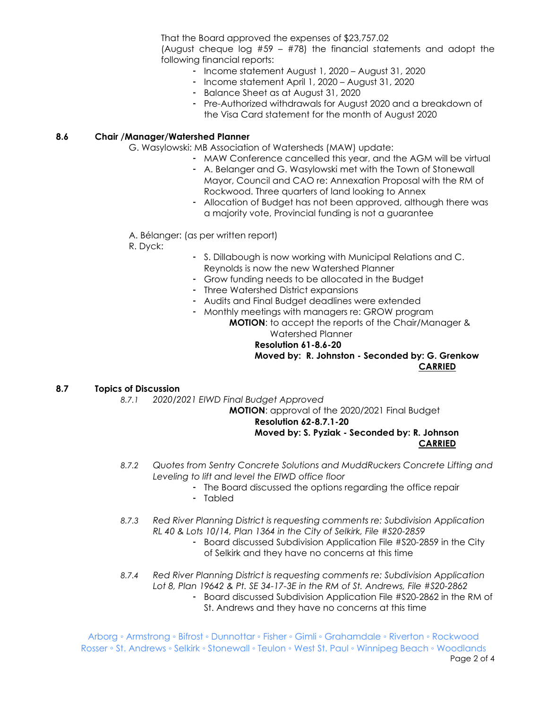That the Board approved the expenses of \$23,757.02 (August cheque log  $#59 - #78$ ) the financial statements and adopt the following financial reports:

- Income statement August 1, 2020 August 31, 2020
- Income statement April 1, 2020 August 31, 2020
- Balance Sheet as at August 31, 2020
- Pre-Authorized withdrawals for August 2020 and a breakdown of the Visa Card statement for the month of August 2020

#### **8.6 Chair /Manager/Watershed Planner**

- G. Wasylowski: MB Association of Watersheds (MAW) update:
	- MAW Conference cancelled this year, and the AGM will be virtual
		- A. Belanger and G. Wasylowski met with the Town of Stonewall Mayor, Council and CAO re: Annexation Proposal with the RM of Rockwood. Three quarters of land looking to Annex
		- Allocation of Budget has not been approved, although there was a majority vote, Provincial funding is not a guarantee
- A. Bélanger: (as per written report)
- R. Dyck:
- S. Dillabough is now working with Municipal Relations and C. Reynolds is now the new Watershed Planner
- Grow funding needs to be allocated in the Budget
- Three Watershed District expansions
- Audits and Final Budget deadlines were extended
- Monthly meetings with managers re: GROW program

**MOTION**: to accept the reports of the Chair/Manager & Watershed Planner

#### **Resolution 61-8.6-20**

**Moved by: R. Johnston - Seconded by: G. Grenkow CARRIED**

#### **8.7 Topics of Discussion**

*8.7.1 2020/2021 EIWD Final Budget Approved*

**MOTION**: approval of the 2020/2021 Final Budget

# **Resolution 62-8.7.1-20**

# **Moved by: S. Pyziak - Seconded by: R. Johnson CARRIED**

- *8.7.2 Quotes from Sentry Concrete Solutions and MuddRuckers Concrete Lifting and Leveling to lift and level the EIWD office floor*
	- The Board discussed the options regarding the office repair
	- Tabled
- *8.7.3 Red River Planning District is requesting comments re: Subdivision Application RL 40 & Lots 10/14, Plan 1364 in the City of Selkirk, File #S20-2859*
	- Board discussed Subdivision Application File #S20-2859 in the City of Selkirk and they have no concerns at this time
- *8.7.4 Red River Planning District is requesting comments re: Subdivision Application Lot 8, Plan 19642 & Pt. SE 34-17-3E in the RM of St. Andrews, File #S20-2862*
	- Board discussed Subdivision Application File #S20-2862 in the RM of St. Andrews and they have no concerns at this time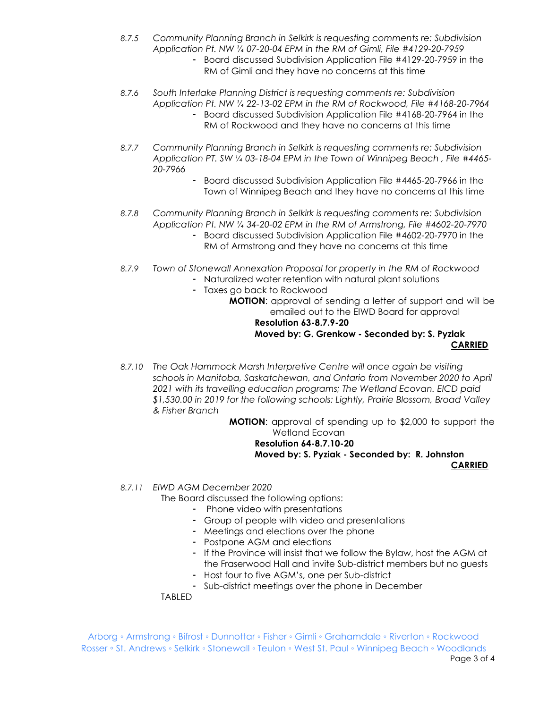- *8.7.5 Community Planning Branch in Selkirk is requesting comments re: Subdivision Application Pt. NW ¼ 07-20-04 EPM in the RM of Gimli, File #4129-20-7959*
	- Board discussed Subdivision Application File #4129-20-7959 in the RM of Gimli and they have no concerns at this time
- *8.7.6 South Interlake Planning District is requesting comments re: Subdivision Application Pt. NW ¼ 22-13-02 EPM in the RM of Rockwood, File #4168-20-7964*
	- Board discussed Subdivision Application File #4168-20-7964 in the RM of Rockwood and they have no concerns at this time
- *8.7.7 Community Planning Branch in Selkirk is requesting comments re: Subdivision Application PT. SW ¼ 03-18-04 EPM in the Town of Winnipeg Beach , File #4465- 20-7966*
	- Board discussed Subdivision Application File #4465-20-7966 in the Town of Winnipeg Beach and they have no concerns at this time
- *8.7.8 Community Planning Branch in Selkirk is requesting comments re: Subdivision Application Pt. NW ¼ 34-20-02 EPM in the RM of Armstrong, File #4602-20-7970*
	- Board discussed Subdivision Application File #4602-20-7970 in the RM of Armstrong and they have no concerns at this time
- *8.7.9 Town of Stonewall Annexation Proposal for property in the RM of Rockwood* - Naturalized water retention with natural plant solutions
	- Taxes go back to Rockwood

**MOTION**: approval of sending a letter of support and will be emailed out to the EIWD Board for approval

#### **Resolution 63-8.7.9-20 Moved by: G. Grenkow - Seconded by: S. Pyziak CARRIED**

*8.7.10 The Oak Hammock Marsh Interpretive Centre will once again be visiting schools in Manitoba, Saskatchewan, and Ontario from November 2020 to April 2021 with its travelling education programs; The Wetland Ecovan. EICD paid \$1,530.00 in 2019 for the following schools: Lightly, Prairie Blossom, Broad Valley & Fisher Branch* 

**MOTION**: approval of spending up to \$2,000 to support the Wetland Ecovan

#### **Resolution 64-8.7.10-20 Moved by: S. Pyziak - Seconded by: R. Johnston CARRIED**

*8.7.11 EIWD AGM December 2020*

The Board discussed the following options:

- Phone video with presentations
- Group of people with video and presentations
- Meetings and elections over the phone
- Postpone AGM and elections
- If the Province will insist that we follow the Bylaw, host the AGM at the Fraserwood Hall and invite Sub-district members but no guests
- Host four to five AGM's, one per Sub-district

- Sub-district meetings over the phone in December

#### TABLED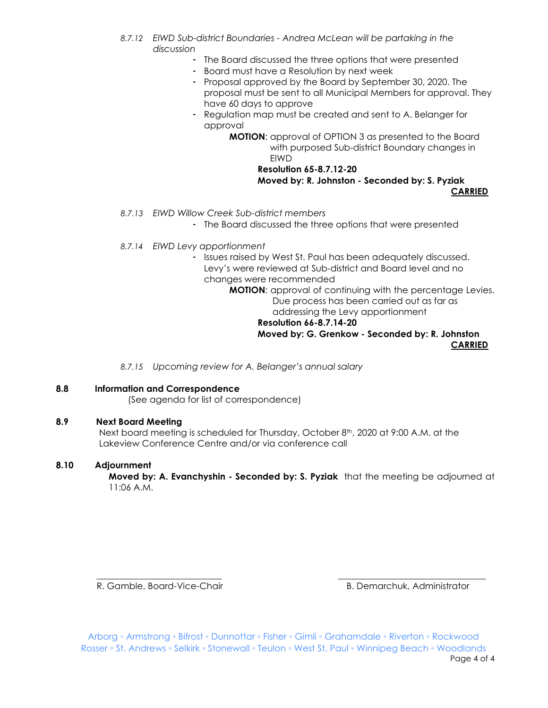- *8.7.12 EIWD Sub-district Boundaries - Andrea McLean will be partaking in the discussion*
	- The Board discussed the three options that were presented
	- Board must have a Resolution by next week
	- Proposal approved by the Board by September 30, 2020. The proposal must be sent to all Municipal Members for approval. They have 60 days to approve
	- Regulation map must be created and sent to A. Belanger for approval

**MOTION**: approval of OPTION 3 as presented to the Board with purposed Sub-district Boundary changes in **FIWD** 

> **Resolution 65-8.7.12-20 Moved by: R. Johnston - Seconded by: S. Pyziak CARRIED**

- *8.7.13 EIWD Willow Creek Sub-district members*
	- The Board discussed the three options that were presented
- *8.7.14 EIWD Levy apportionment*

- Issues raised by West St. Paul has been adequately discussed. Levy's were reviewed at Sub-district and Board level and no changes were recommended

**MOTION**: approval of continuing with the percentage Levies. Due process has been carried out as far as addressing the Levy apportionment

#### **Resolution 66-8.7.14-20 Moved by: G. Grenkow - Seconded by: R. Johnston CARRIED**

*8.7.15 Upcoming review for A. Belanger's annual salary* 

# **8.8 Information and Correspondence**

(See agenda for list of correspondence)

# **8.9 Next Board Meeting**

Next board meeting is scheduled for Thursday, October 8<sup>th</sup>, 2020 at 9:00 A.M. at the Lakeview Conference Centre and/or via conference call

## **8.10 Adjournment**

**Moved by: A. Evanchyshin - Seconded by: S. Pyziak** that the meeting be adjourned at 11:06 A.M.

R. Gamble, Board-Vice-Chair **B. Demarchuk, Administrator** B. Demarchuk, Administrator

Arborg ◦ Armstrong ◦ Bifrost ◦ Dunnottar ◦ Fisher ◦ Gimli ◦ Grahamdale ◦ Riverton ◦ Rockwood Rosser ◦ St. Andrews ◦ Selkirk ◦ Stonewall ◦ Teulon ◦ West St. Paul ◦ Winnipeg Beach ◦ Woodlands Page 4 of 4

\_\_\_\_\_\_\_\_\_\_\_\_\_\_\_\_\_\_\_\_\_\_\_\_\_\_\_\_ \_\_\_\_\_\_\_\_\_\_\_\_\_\_\_\_\_\_\_\_\_\_\_\_\_\_\_\_\_\_\_\_\_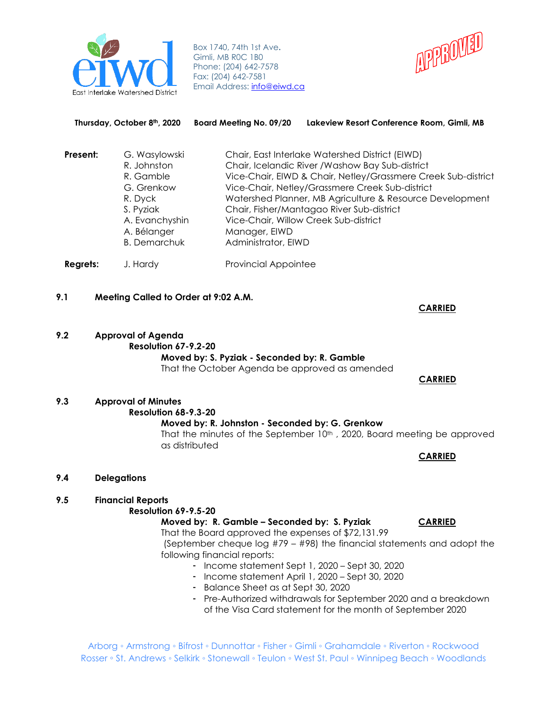

Box 1740, 74th 1st Ave**.** Gimli, MB R0C 1B0 Phone: (204) 642-7578 Fax: (204) 642-7581 Email Address: **info@eiwd.ca** 



|          | Thursday, October 8th, 2020                                                                                                             | Board Meeting No. 09/20              | Lakeview Resort Conference Room, Gimli, MB                                                                                                                                                                                                                                                                                                                                |
|----------|-----------------------------------------------------------------------------------------------------------------------------------------|--------------------------------------|---------------------------------------------------------------------------------------------------------------------------------------------------------------------------------------------------------------------------------------------------------------------------------------------------------------------------------------------------------------------------|
| Present: | G. Wasylowski<br>R. Johnston<br>R. Gamble<br>G. Grenkow<br>R. Dyck<br>S. Pyziak<br>A. Evanchyshin<br>A. Bélanger<br><b>B.</b> Demarchuk | Manager, EIWD<br>Administrator, EIWD | Chair, East Interlake Watershed District (EIWD)<br>Chair, Icelandic River / Washow Bay Sub-district<br>Vice-Chair, EIWD & Chair, Netley/Grassmere Creek Sub-district<br>Vice-Chair, Netley/Grassmere Creek Sub-district<br>Watershed Planner, MB Agriculture & Resource Development<br>Chair, Fisher/Mantagao River Sub-district<br>Vice-Chair, Willow Creek Sub-district |
| Regrets: | J. Hardy                                                                                                                                | <b>Provincial Appointee</b>          |                                                                                                                                                                                                                                                                                                                                                                           |

- **9.1 Meeting Called to Order at 9:02 A.M.**
- **9.2 Approval of Agenda**

# **Resolution 67-9.2-20 Moved by: S. Pyziak - Seconded by: R. Gamble**

That the October Agenda be approved as amended

# **9.3 Approval of Minutes**

**Resolution 68-9.3-20**

**Moved by: R. Johnston - Seconded by: G. Grenkow** That the minutes of the September 10<sup>th</sup>, 2020, Board meeting be approved as distributed

**CARRIED**

# **9.4 Delegations**

# **9.5 Financial Reports**

#### **Resolution 69-9.5-20**

#### **Moved by: R. Gamble - Seconded by: S. Pyziak CARRIED**

That the Board approved the expenses of \$72,131.99 (September cheque log #79 – #98) the financial statements and adopt the following financial reports:

- Income statement Sept 1, 2020 Sept 30, 2020
- Income statement April 1, 2020 Sept 30, 2020
- Balance Sheet as at Sept 30, 2020
- Pre-Authorized withdrawals for September 2020 and a breakdown of the Visa Card statement for the month of September 2020

Arborg ◦ Armstrong ◦ Bifrost ◦ Dunnottar ◦ Fisher ◦ Gimli ◦ Grahamdale ◦ Riverton ◦ Rockwood Rosser ◦ St. Andrews ◦ Selkirk ◦ Stonewall ◦ Teulon ◦ West St. Paul ◦ Winnipeg Beach ◦ Woodlands

#### **CARRIED**

 **CARRIED**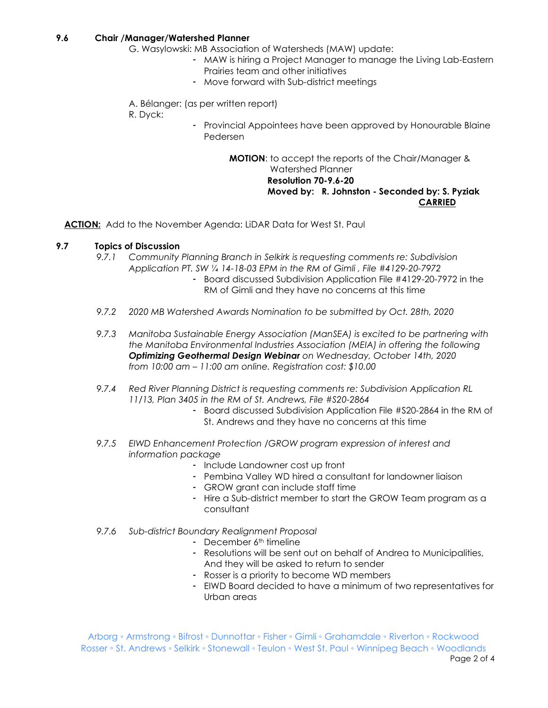#### **9.6 Chair /Manager/Watershed Planner**

- G. Wasylowski: MB Association of Watersheds (MAW) update:
	- MAW is hiring a Project Manager to manage the Living Lab-Eastern Prairies team and other initiatives
	- Move forward with Sub-district meetings
- A. Bélanger: (as per written report)
- R. Dyck:
- Provincial Appointees have been approved by Honourable Blaine Pedersen

**MOTION**: to accept the reports of the Chair/Manager & Watershed Planner **Resolution 70-9.6-20 Moved by: R. Johnston - Seconded by: S. Pyziak CARRIED**

**ACTION:** Add to the November Agenda: LiDAR Data for West St. Paul

#### **9.7 Topics of Discussion**

- *9.7.1 Community Planning Branch in Selkirk is requesting comments re: Subdivision Application PT. SW ¼ 14-18-03 EPM in the RM of Gimli , File #4129-20-7972* - Board discussed Subdivision Application File #4129-20-7972 in the
	- RM of Gimli and they have no concerns at this time
- *9.7.2 2020 MB Watershed Awards Nomination to be submitted by Oct. 28th, 2020*
- *9.7.3 Manitoba Sustainable Energy Association (ManSEA) is excited to be partnering with the Manitoba Environmental Industries Association (MEIA) in offering the following Optimizing Geothermal Design Webinar on Wednesday, October 14th, 2020 from 10:00 am – 11:00 am online. Registration cost: \$10.00*
- *9.7.4 Red River Planning District is requesting comments re: Subdivision Application RL 11/13, Plan 3405 in the RM of St. Andrews, File #S20-2864*
	- Board discussed Subdivision Application File #S20-2864 in the RM of St. Andrews and they have no concerns at this time
- *9.7.5 EIWD Enhancement Protection /GROW program expression of interest and information package*
	- Include Landowner cost up front
	- Pembina Valley WD hired a consultant for landowner liaison
	- GROW grant can include staff time
	- Hire a Sub-district member to start the GROW Team program as a consultant
- *9.7.6 Sub-district Boundary Realignment Proposal*
	- December 6<sup>th</sup> timeline
		- Resolutions will be sent out on behalf of Andrea to Municipalities, And they will be asked to return to sender
		- Rosser is a priority to become WD members
		- EIWD Board decided to have a minimum of two representatives for Urban areas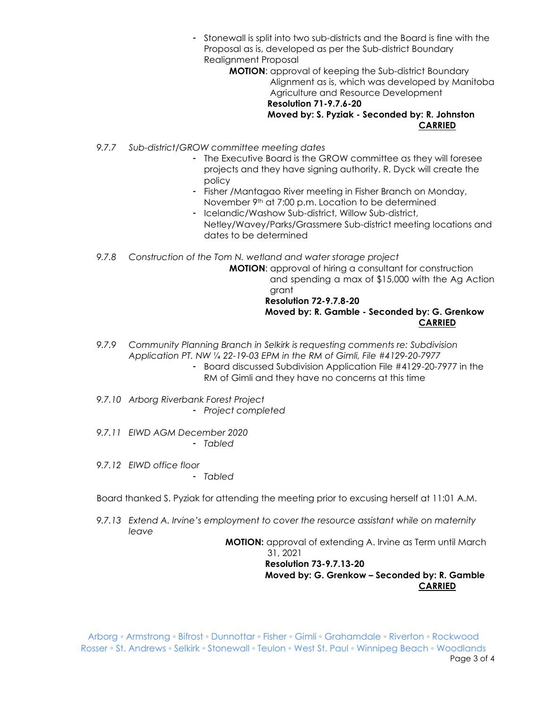- Stonewall is split into two sub-districts and the Board is fine with the Proposal as is, developed as per the Sub-district Boundary Realignment Proposal

**MOTION**: approval of keeping the Sub-district Boundary Alignment as is, which was developed by Manitoba Agriculture and Resource Development **Resolution 71-9.7.6-20 Moved by: S. Pyziak - Seconded by: R. Johnston CARRIED**

- *9.7.7 Sub-district/GROW committee meeting dates*
	- The Executive Board is the GROW committee as they will foresee projects and they have signing authority. R. Dyck will create the policy
	- Fisher /Mantagao River meeting in Fisher Branch on Monday, November 9<sup>th</sup> at 7:00 p.m. Location to be determined
	- Icelandic/Washow Sub-district, Willow Sub-district, Netley/Wavey/Parks/Grassmere Sub-district meeting locations and dates to be determined

*9.7.8 Construction of the Tom N. wetland and water storage project*

**MOTION**: approval of hiring a consultant for construction

 and spending a max of \$15,000 with the Ag Action grant

 **Resolution 72-9.7.8-20 Moved by: R. Gamble - Seconded by: G. Grenkow CARRIED**

- *9.7.9 Community Planning Branch in Selkirk is requesting comments re: Subdivision Application PT. NW ¼ 22-19-03 EPM in the RM of Gimli, File #4129-20-7977* 
	- Board discussed Subdivision Application File #4129-20-7977 in the RM of Gimli and they have no concerns at this time
- *9.7.10 Arborg Riverbank Forest Project*
	- *Project completed*
- *9.7.11 EIWD AGM December 2020* - *Tabled*
- *9.7.12 EIWD office floor*
	- *Tabled*

Board thanked S. Pyziak for attending the meeting prior to excusing herself at 11:01 A.M.

*9.7.13 Extend A. Irvine's employment to cover the resource assistant while on maternity leave*

**MOTION:** approval of extending A. Irvine as Term until March

 31, 2021  **Resolution 73-9.7.13-20 Moved by: G. Grenkow – Seconded by: R. Gamble CARRIED**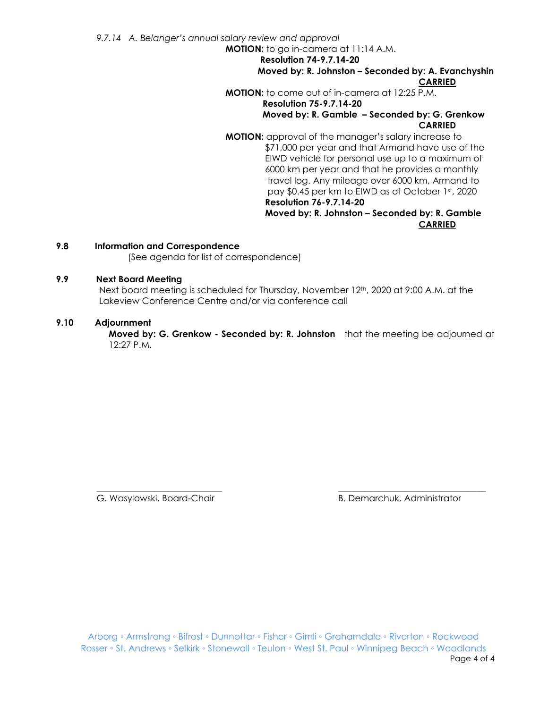*9.7.14 A. Belanger's annual salary review and approval*

**MOTION:** to go in-camera at 11:14 A.M.

**Resolution 74-9.7.14-20**

**Moved by: R. Johnston – Seconded by: A. Evanchyshin CARRIED**

**MOTION:** to come out of in-camera at 12:25 P.M.

#### **Resolution 75-9.7.14-20 Moved by: R. Gamble – Seconded by: G. Grenkow CARRIED**

**MOTION:** approval of the manager's salary increase to \$71,000 per year and that Armand have use of the EIWD vehicle for personal use up to a maximum of 6000 km per year and that he provides a monthly travel log. Any mileage over 6000 km, Armand to pay \$0.45 per km to EIWD as of October 1st, 2020  **Resolution 76-9.7.14-20**

#### **Moved by: R. Johnston – Seconded by: R. Gamble CARRIED**

### **9.8 Information and Correspondence**

(See agenda for list of correspondence)

#### **9.9 Next Board Meeting**

Next board meeting is scheduled for Thursday, November 12<sup>th</sup>, 2020 at 9:00 A.M. at the Lakeview Conference Centre and/or via conference call

#### **9.10 Adjournment**

**Moved by: G. Grenkow - Seconded by: R. Johnston** that the meeting be adjourned at 12:27 P.M.

 $\overline{\phantom{a}}$  , and the contribution of the contribution of the contribution of the contribution of the contribution of the contribution of the contribution of the contribution of the contribution of the contribution of the

G. Wasylowski, Board-Chair **B. Demarchuk, Administrator** B. Demarchuk, Administrator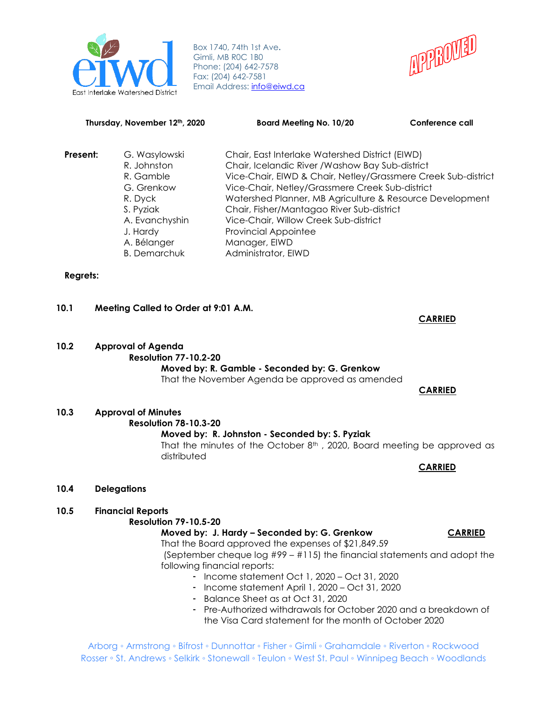

Box 1740, 74th 1st Ave**.** Gimli, MB R0C 1B0 Phone: (204) 642-7578 Fax: (204) 642-7581 Email Address: **info@eiwd.ca** 



#### **Thursday, November 12th, 2020 Board Meeting No. 10/20 Conference call**

| Present: | G. Wasylowski       | Chair, East Interlake Watershed District (EIWD)               |
|----------|---------------------|---------------------------------------------------------------|
|          | R. Johnston         | Chair, Icelandic River / Washow Bay Sub-district              |
|          | R. Gamble           | Vice-Chair, EIWD & Chair, Netley/Grassmere Creek Sub-district |
|          | G. Grenkow          | Vice-Chair, Netley/Grassmere Creek Sub-district               |
|          | R. Dyck             | Watershed Planner, MB Agriculture & Resource Development      |
|          | S. Pyziak           | Chair, Fisher/Mantagao River Sub-district                     |
|          | A. Evanchyshin      | Vice-Chair, Willow Creek Sub-district                         |
|          | J. Hardy            | <b>Provincial Appointee</b>                                   |
|          | A. Bélanger         | Manager, EIWD                                                 |
|          | <b>B.</b> Demarchuk | Administrator, EIWD                                           |

#### **Regrets:**

#### **10.1 Meeting Called to Order at 9:01 A.M.**

**10.2 Approval of Agenda Resolution 77-10.2-20 Moved by: R. Gamble - Seconded by: G. Grenkow** That the November Agenda be approved as amended

#### **CARRIED**

**CARRIED**

**10.3 Approval of Minutes Resolution 78-10.3-20 Moved by: R. Johnston - Seconded by: S. Pyziak** That the minutes of the October  $8<sup>th</sup>$ , 2020, Board meeting be approved as distributed

**CARRIED**

**10.4 Delegations**

#### **10.5 Financial Reports**

#### **Resolution 79-10.5-20**

#### **Moved by: J. Hardy – Seconded by: G. Grenkow CARRIED**

That the Board approved the expenses of \$21,849.59 (September cheque log #99 – #115) the financial statements and adopt the following financial reports:

- Income statement Oct 1, 2020 Oct 31, 2020
- Income statement April 1, 2020 Oct 31, 2020
- Balance Sheet as at Oct 31, 2020
- Pre-Authorized withdrawals for October 2020 and a breakdown of the Visa Card statement for the month of October 2020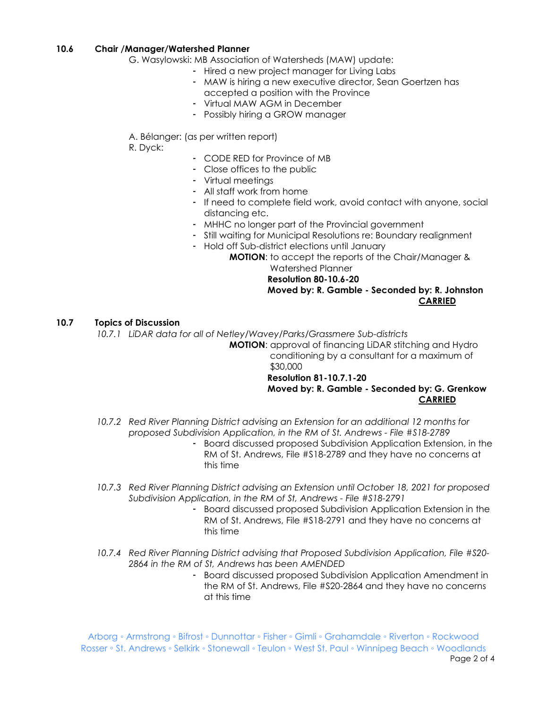#### **10.6 Chair /Manager/Watershed Planner**

G. Wasylowski: MB Association of Watersheds (MAW) update:

- Hired a new project manager for Living Labs
- MAW is hiring a new executive director, Sean Goertzen has accepted a position with the Province
- Virtual MAW AGM in December
- Possibly hiring a GROW manager

A. Bélanger: (as per written report)

R. Dyck:

- CODE RED for Province of MB
- Close offices to the public
- Virtual meetings
- All staff work from home
- If need to complete field work, avoid contact with anyone, social distancing etc.
- MHHC no longer part of the Provincial government
- Still waiting for Municipal Resolutions re: Boundary realignment
- Hold off Sub-district elections until January
	- **MOTION**: to accept the reports of the Chair/Manager & Watershed Planner

**Resolution 80-10.6-20**

# **Moved by: R. Gamble - Seconded by: R. Johnston CARRIED**

#### **10.7 Topics of Discussion**

*10.7.1 LiDAR data for all of Netley/Wavey/Parks/Grassmere Sub-districts*

**MOTION**: approval of financing LiDAR stitching and Hydro conditioning by a consultant for a maximum of \$30,000

#### **Resolution 81-10.7.1-20**

#### **Moved by: R. Gamble - Seconded by: G. Grenkow CARRIED**

- *10.7.2 Red River Planning District advising an Extension for an additional 12 months for proposed Subdivision Application, in the RM of St. Andrews - File #S18-2789* 
	- Board discussed proposed Subdivision Application Extension, in the RM of St. Andrews, File #S18-2789 and they have no concerns at this time
- *10.7.3 Red River Planning District advising an Extension until October 18, 2021 for proposed Subdivision Application, in the RM of St, Andrews - File #S18-2791* 
	- Board discussed proposed Subdivision Application Extension in the RM of St. Andrews, File #S18-2791 and they have no concerns at this time
- *10.7.4 Red River Planning District advising that Proposed Subdivision Application, File #S20- 2864 in the RM of St, Andrews has been AMENDED*
	- Board discussed proposed Subdivision Application Amendment in the RM of St. Andrews, File #S20-2864 and they have no concerns at this time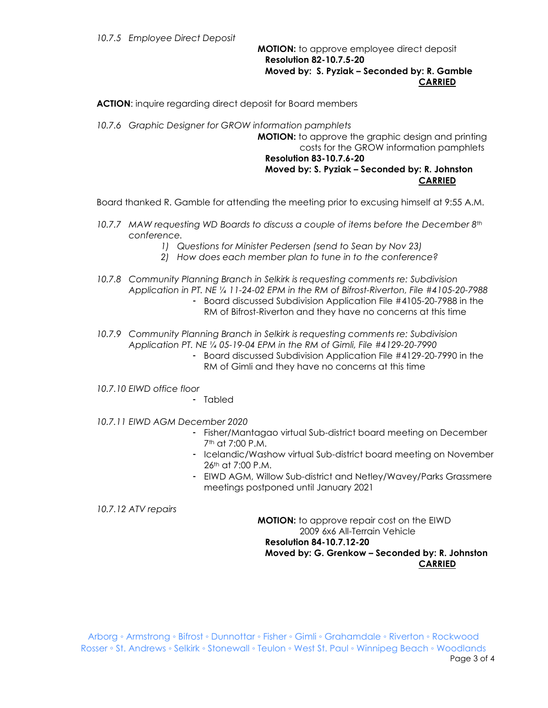#### **MOTION:** to approve employee direct deposit  **Resolution 82-10.7.5-20 Moved by: S. Pyziak – Seconded by: R. Gamble CARRIED**

**ACTION**: inquire regarding direct deposit for Board members

*10.7.6 Graphic Designer for GROW information pamphlets*

**MOTION:** to approve the graphic design and printing costs for the GROW information pamphlets  **Resolution 83-10.7.6-20 Moved by: S. Pyziak – Seconded by: R. Johnston CARRIED**

Board thanked R. Gamble for attending the meeting prior to excusing himself at 9:55 A.M.

- *10.7.7 MAW requesting WD Boards to discuss a couple of items before the December 8th conference.* 
	- *1) Questions for Minister Pedersen (send to Sean by Nov 23)*
	- *2) How does each member plan to tune in to the conference?*
- *10.7.8 Community Planning Branch in Selkirk is requesting comments re: Subdivision Application in PT. NE ¼ 11-24-02 EPM in the RM of Bifrost-Riverton, File #4105-20-7988*
	- Board discussed Subdivision Application File #4105-20-7988 in the RM of Bifrost-Riverton and they have no concerns at this time
- *10.7.9 Community Planning Branch in Selkirk is requesting comments re: Subdivision Application PT. NE ¼ 05-19-04 EPM in the RM of Gimli, File #4129-20-7990*
	- Board discussed Subdivision Application File #4129-20-7990 in the RM of Gimli and they have no concerns at this time
- *10.7.10 EIWD office floor*
	- Tabled
- *10.7.11 EIWD AGM December 2020*
	- Fisher/Mantagao virtual Sub-district board meeting on December 7th at 7:00 P.M.
	- Icelandic/Washow virtual Sub-district board meeting on November 26th at 7:00 P.M.
	- EIWD AGM, Willow Sub-district and Netley/Wavey/Parks Grassmere meetings postponed until January 2021

*10.7.12 ATV repairs*

**MOTION:** to approve repair cost on the EIWD 2009 6x6 All-Terrain Vehicle  **Resolution 84-10.7.12-20 Moved by: G. Grenkow – Seconded by: R. Johnston CARRIED**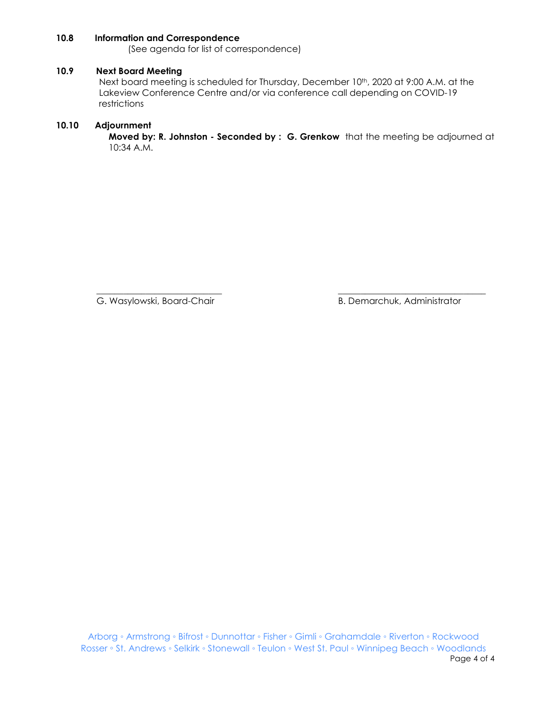#### **10.8 Information and Correspondence**

(See agenda for list of correspondence)

#### **10.9 Next Board Meeting**

Next board meeting is scheduled for Thursday, December 10<sup>th</sup>, 2020 at 9:00 A.M. at the Lakeview Conference Centre and/or via conference call depending on COVID-19 restrictions

#### **10.10 Adjournment**

**Moved by: R. Johnston - Seconded by : G. Grenkow** that the meeting be adjourned at 10:34 A.M.

\_\_\_\_\_\_\_\_\_\_\_\_\_\_\_\_\_\_\_\_\_\_\_\_\_\_\_\_ \_\_\_\_\_\_\_\_\_\_\_\_\_\_\_\_\_\_\_\_\_\_\_\_\_\_\_\_\_\_\_\_\_

G. Wasylowski, Board-Chair **B. Demarchuk, Administrator** B. Demarchuk, Administrator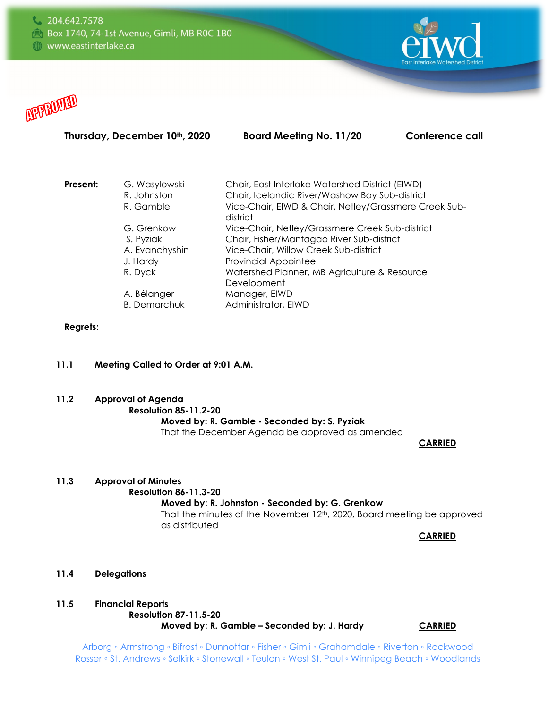



# Thursday, December 10<sup>th</sup>, 2020 Board Meeting No. 11/20 Conference call

| Present: | G. Wasylowski       | Chair, East Interlake Watershed District (EIWD)                   |
|----------|---------------------|-------------------------------------------------------------------|
|          | R. Johnston         | Chair, Icelandic River/Washow Bay Sub-district                    |
|          | R. Gamble           | Vice-Chair, EIWD & Chair, Netley/Grassmere Creek Sub-<br>district |
|          | G. Grenkow          | Vice-Chair, Netley/Grassmere Creek Sub-district                   |
|          | S. Pyziak           | Chair, Fisher/Mantagao River Sub-district                         |
|          | A. Evanchyshin      | Vice-Chair, Willow Creek Sub-district                             |
|          | J. Hardy            | <b>Provincial Appointee</b>                                       |
|          | R. Dyck             | Watershed Planner, MB Agriculture & Resource                      |
|          |                     | Development                                                       |
|          | A. Bélanger         | Manager, EIWD                                                     |
|          | <b>B.</b> Demarchuk | Administrator, EIWD                                               |
|          |                     |                                                                   |

## **Regrets:**

# **11.1 Meeting Called to Order at 9:01 A.M.**

**11.2 Approval of Agenda**

#### **Resolution 85-11.2-20**

# **Moved by: R. Gamble - Seconded by: S. Pyziak**

That the December Agenda be approved as amended

 **CARRIED** 

#### **11.3 Approval of Minutes**

# **Resolution 86-11.3-20**

### **Moved by: R. Johnston - Seconded by: G. Grenkow**

That the minutes of the November 12<sup>th</sup>, 2020, Board meeting be approved as distributed

**CARRIED**

#### **11.4 Delegations**

#### **11.5 Financial Reports Resolution 87-11.5-20**

**Moved by: R. Gamble - Seconded by: J. Hardy CARRIED**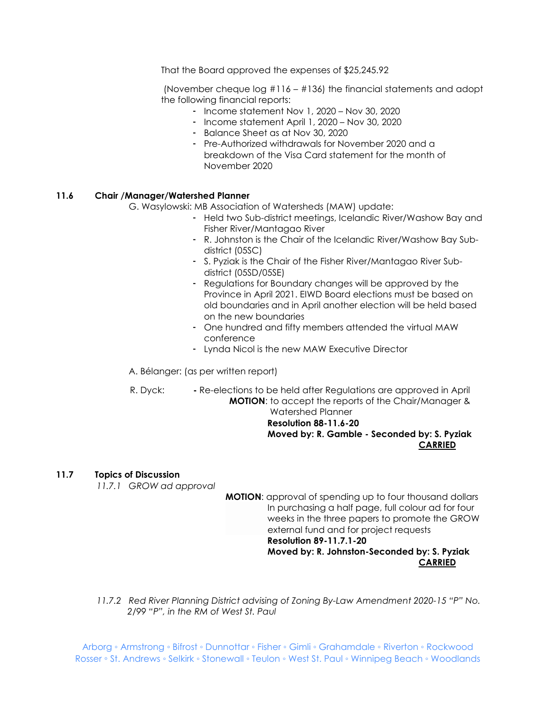That the Board approved the expenses of \$25,245.92

(November cheque log #116 – #136) the financial statements and adopt the following financial reports:

- Income statement Nov 1, 2020 Nov 30, 2020
- Income statement April 1, 2020 Nov 30, 2020
- Balance Sheet as at Nov 30, 2020
- Pre-Authorized withdrawals for November 2020 and a breakdown of the Visa Card statement for the month of November 2020

#### **11.6 Chair /Manager/Watershed Planner**

- G. Wasylowski: MB Association of Watersheds (MAW) update:
	- Held two Sub-district meetings, Icelandic River/Washow Bay and Fisher River/Mantagao River
	- R. Johnston is the Chair of the Icelandic River/Washow Bay Subdistrict (05SC)
	- S. Pyziak is the Chair of the Fisher River/Mantagao River Subdistrict (05SD/05SE)
	- Regulations for Boundary changes will be approved by the Province in April 2021. EIWD Board elections must be based on old boundaries and in April another election will be held based on the new boundaries
	- One hundred and fifty members attended the virtual MAW conference
	- Lynda Nicol is the new MAW Executive Director
- A. Bélanger: (as per written report)
- R. Dyck: **-** Re-elections to be held after Regulations are approved in April **MOTION**: to accept the reports of the Chair/Manager & Watershed Planner

#### **Resolution 88-11.6-20 Moved by: R. Gamble - Seconded by: S. Pyziak CARRIED**

#### **11.7 Topics of Discussion**

*11.7.1 GROW ad approval*

**MOTION**: approval of spending up to four thousand dollars In purchasing a half page, full colour ad for four weeks in the three papers to promote the GROW external fund and for project requests **Resolution 89-11.7.1-20 Moved by: R. Johnston-Seconded by: S. Pyziak CARRIED**

*11.7.2 Red River Planning District advising of Zoning By-Law Amendment 2020-15 "P" No. 2/99 "P", in the RM of West St. Paul*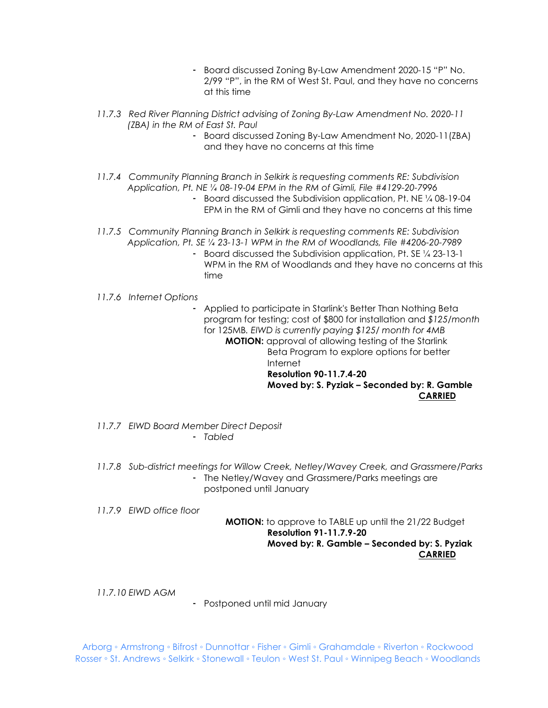- Board discussed Zoning By-Law Amendment 2020-15 "P" No. 2/99 "P", in the RM of West St. Paul, and they have no concerns at this time
- *11.7.3 Red River Planning District advising of Zoning By-Law Amendment No. 2020-11 (ZBA) in the RM of East St. Paul*
	- Board discussed Zoning By-Law Amendment No, 2020-11(ZBA) and they have no concerns at this time
- *11.7.4 Community Planning Branch in Selkirk is requesting comments RE: Subdivision Application, Pt. NE ¼ 08-19-04 EPM in the RM of Gimli, File #4129-20-7996*
	- Board discussed the Subdivision application, Pt. NE ¼ 08-19-04 EPM in the RM of Gimli and they have no concerns at this time
- *11.7.5 Community Planning Branch in Selkirk is requesting comments RE: Subdivision Application, Pt. SE ¼ 23-13-1 WPM in the RM of Woodlands, File #4206-20-7989*
	- Board discussed the Subdivision application, Pt. SE ¼ 23-13-1 WPM in the RM of Woodlands and they have no concerns at this time
- *11.7.6 Internet Options*

- Applied to participate in Starlink's Better Than Nothing Beta program for testing; cost of \$800 for installation and *\$125/month* for 125MB*. EIWD is currently paying \$125/ month for 4MB* **MOTION:** approval of allowing testing of the Starlink Beta Program to explore options for better Internet **Resolution 90-11.7.4-20**

 **Moved by: S. Pyziak – Seconded by: R. Gamble CARRIED**

- *11.7.7 EIWD Board Member Direct Deposit*  - *Tabled*
- *11.7.8 Sub-district meetings for Willow Creek, Netley/Wavey Creek, and Grassmere/Parks* - The Netley/Wavey and Grassmere/Parks meetings are postponed until January

*11.7.9 EIWD office floor*

#### **MOTION:** to approve to TABLE up until the 21/22 Budget **Resolution 91-11.7.9-20 Moved by: R. Gamble – Seconded by: S. Pyziak CARRIED**

*11.7.10 EIWD AGM*

- Postponed until mid January